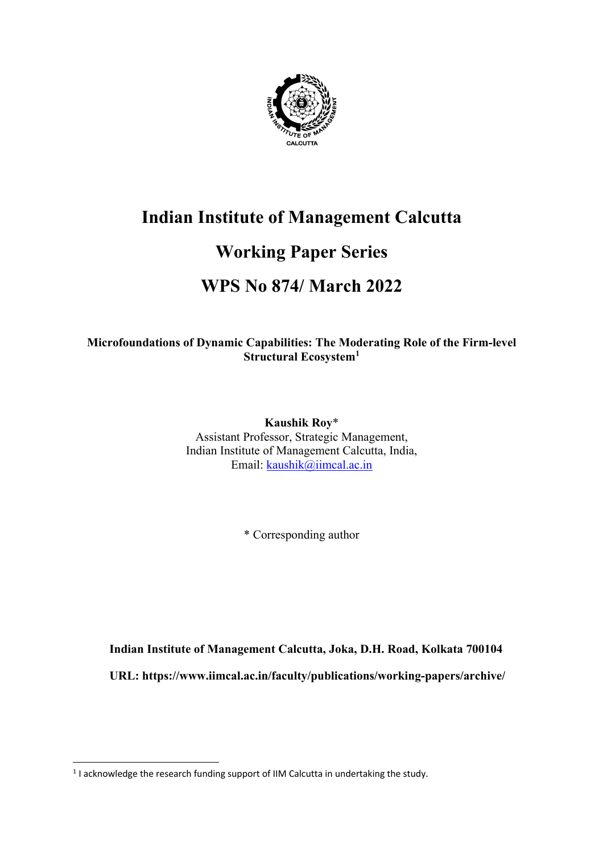

# **Indian Institute of Management Calcutta**

# **Working Paper Series**

# **WPS No 874/ March 2022**

## **Microfoundations of Dynamic Capabilities: The Moderating Role of the Firm-level Structural Ecosystem1**

**Kaushik Roy**\* Assistant Professor, Strategic Management, Indian Institute of Management Calcutta, India, Email: kaushik@iimcal.ac.in

\* Corresponding author

**Indian Institute of Management Calcutta, Joka, D.H. Road, Kolkata 700104**

**URL: https://www.iimcal.ac.in/faculty/publications/working-papers/archive/**

<sup>&</sup>lt;sup>1</sup> I acknowledge the research funding support of IIM Calcutta in undertaking the study.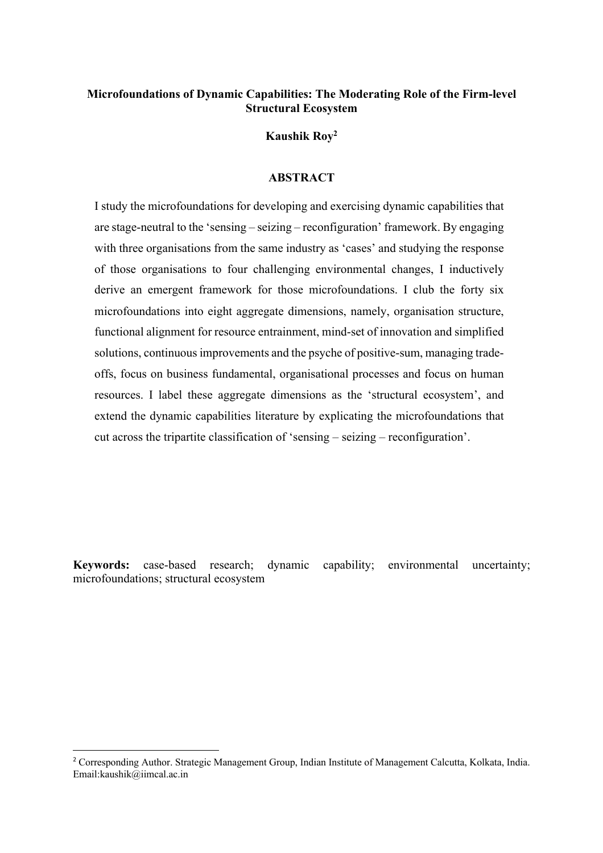## **Microfoundations of Dynamic Capabilities: The Moderating Role of the Firm-level Structural Ecosystem**

**Kaushik Roy2**

### **ABSTRACT**

I study the microfoundations for developing and exercising dynamic capabilities that are stage-neutral to the 'sensing – seizing – reconfiguration' framework. By engaging with three organisations from the same industry as 'cases' and studying the response of those organisations to four challenging environmental changes, I inductively derive an emergent framework for those microfoundations. I club the forty six microfoundations into eight aggregate dimensions, namely, organisation structure, functional alignment for resource entrainment, mind-set of innovation and simplified solutions, continuous improvements and the psyche of positive-sum, managing tradeoffs, focus on business fundamental, organisational processes and focus on human resources. I label these aggregate dimensions as the 'structural ecosystem', and extend the dynamic capabilities literature by explicating the microfoundations that cut across the tripartite classification of 'sensing – seizing – reconfiguration'.

**Keywords:** case-based research; dynamic capability; environmental uncertainty; microfoundations; structural ecosystem

<sup>2</sup> Corresponding Author. Strategic Management Group, Indian Institute of Management Calcutta, Kolkata, India. Email:kaushik@iimcal.ac.in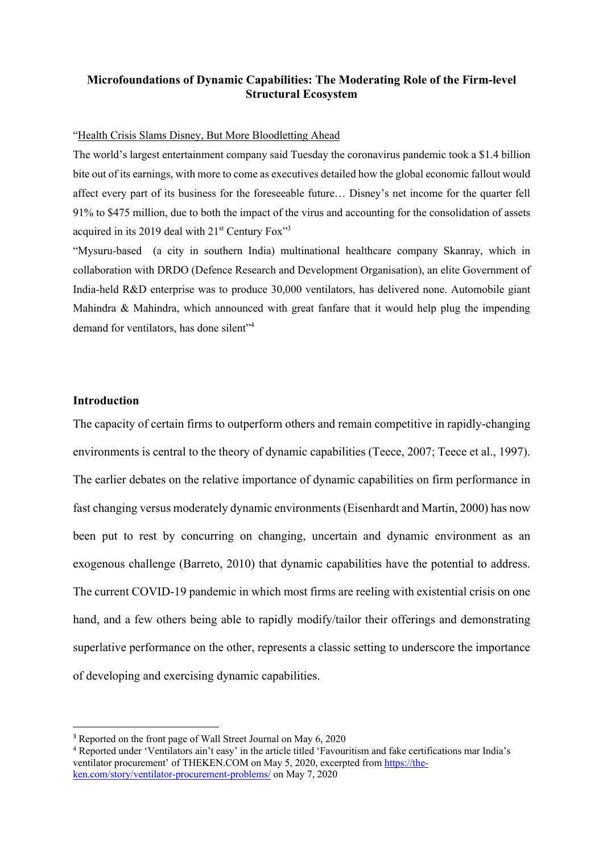#### **Microfoundations of Dynamic Capabilities: The Moderating Role of the Firm-level Structural Ecosystem**

#### "Health Crisis Slams Disney, But More Bloodletting Ahead

The world's largest entertainment company said Tuesday the coronavirus pandemic took a \$1.4 billion bite out of its earnings, with more to come as executives detailed how the global economic fallout would affect every part of its business for the foreseeable future… Disney's net income for the quarter fell 91% to \$475 million, due to both the impact of the virus and accounting for the consolidation of assets acquired in its 2019 deal with  $21<sup>st</sup>$  Century Fox<sup>33</sup>

"Mysuru-based (a city in southern India) multinational healthcare company Skanray, which in collaboration with DRDO (Defence Research and Development Organisation), an elite Government of India-held R&D enterprise was to produce 30,000 ventilators, has delivered none. Automobile giant Mahindra & Mahindra, which announced with great fanfare that it would help plug the impending demand for ventilators, has done silent"<sup>4</sup>

#### **Introduction**

The capacity of certain firms to outperform others and remain competitive in rapidly-changing environments is central to the theory of dynamic capabilities (Teece, 2007; Teece et al., 1997). The earlier debates on the relative importance of dynamic capabilities on firm performance in fast changing versus moderately dynamic environments (Eisenhardt and Martin, 2000) has now been put to rest by concurring on changing, uncertain and dynamic environment as an exogenous challenge (Barreto, 2010) that dynamic capabilities have the potential to address. The current COVID-19 pandemic in which most firms are reeling with existential crisis on one hand, and a few others being able to rapidly modify/tailor their offerings and demonstrating superlative performance on the other, represents a classic setting to underscore the importance of developing and exercising dynamic capabilities.

<sup>&</sup>lt;sup>3</sup> Reported on the front page of Wall Street Journal on May 6, 2020

<sup>4</sup> Reported under 'Ventilators ain't easy' in the article titled 'Favouritism and fake certifications mar India's ventilator procurement' of THEKEN.COM on May 5, 2020, excerpted from https://theken.com/story/ventilator-procurement-problems/ on May 7, 2020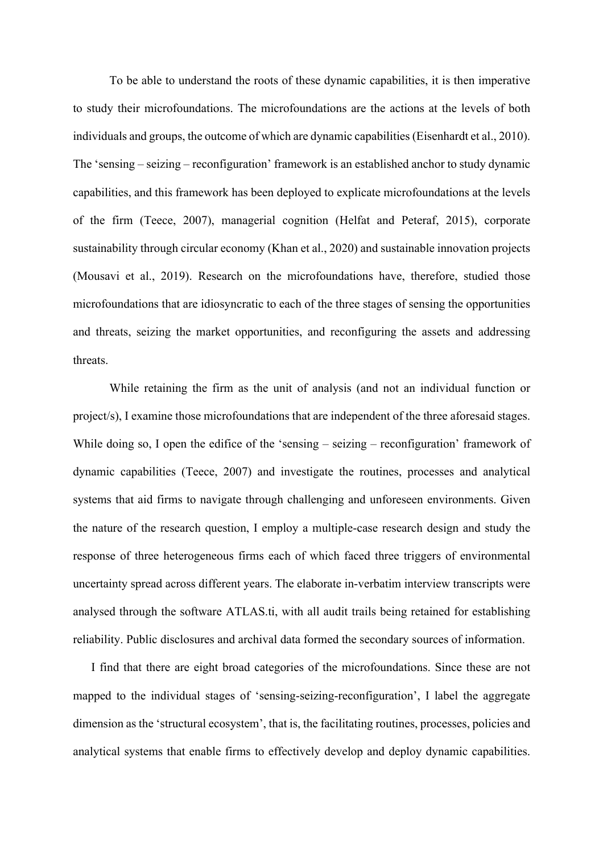To be able to understand the roots of these dynamic capabilities, it is then imperative to study their microfoundations. The microfoundations are the actions at the levels of both individuals and groups, the outcome of which are dynamic capabilities (Eisenhardt et al., 2010). The 'sensing – seizing – reconfiguration' framework is an established anchor to study dynamic capabilities, and this framework has been deployed to explicate microfoundations at the levels of the firm (Teece, 2007), managerial cognition (Helfat and Peteraf, 2015), corporate sustainability through circular economy (Khan et al., 2020) and sustainable innovation projects (Mousavi et al., 2019). Research on the microfoundations have, therefore, studied those microfoundations that are idiosyncratic to each of the three stages of sensing the opportunities and threats, seizing the market opportunities, and reconfiguring the assets and addressing threats.

While retaining the firm as the unit of analysis (and not an individual function or project/s), I examine those microfoundations that are independent of the three aforesaid stages. While doing so, I open the edifice of the 'sensing – seizing – reconfiguration' framework of dynamic capabilities (Teece, 2007) and investigate the routines, processes and analytical systems that aid firms to navigate through challenging and unforeseen environments. Given the nature of the research question, I employ a multiple-case research design and study the response of three heterogeneous firms each of which faced three triggers of environmental uncertainty spread across different years. The elaborate in-verbatim interview transcripts were analysed through the software ATLAS.ti, with all audit trails being retained for establishing reliability. Public disclosures and archival data formed the secondary sources of information.

I find that there are eight broad categories of the microfoundations. Since these are not mapped to the individual stages of 'sensing-seizing-reconfiguration', I label the aggregate dimension as the 'structural ecosystem', that is, the facilitating routines, processes, policies and analytical systems that enable firms to effectively develop and deploy dynamic capabilities.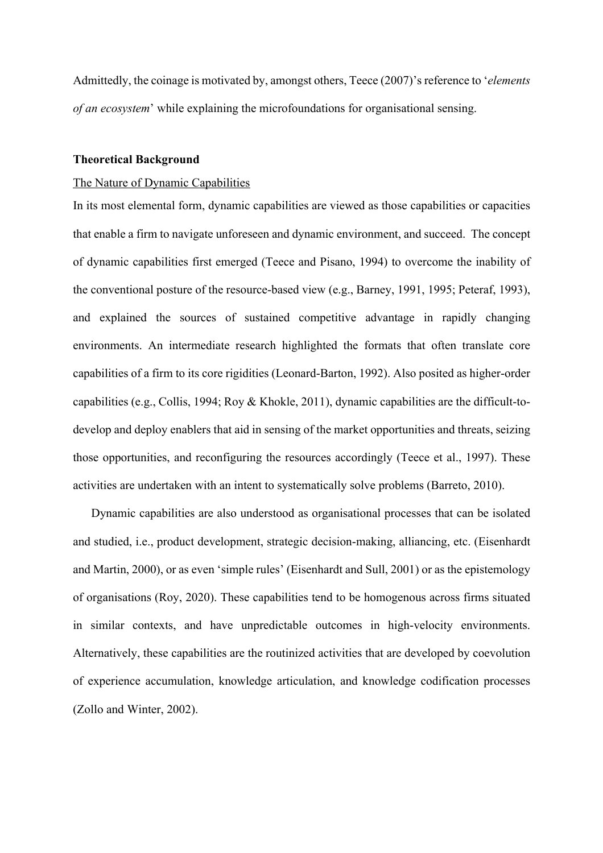Admittedly, the coinage is motivated by, amongst others, Teece (2007)'s reference to '*elements of an ecosystem*' while explaining the microfoundations for organisational sensing.

#### **Theoretical Background**

#### The Nature of Dynamic Capabilities

In its most elemental form, dynamic capabilities are viewed as those capabilities or capacities that enable a firm to navigate unforeseen and dynamic environment, and succeed. The concept of dynamic capabilities first emerged (Teece and Pisano, 1994) to overcome the inability of the conventional posture of the resource-based view (e.g., Barney, 1991, 1995; Peteraf, 1993), and explained the sources of sustained competitive advantage in rapidly changing environments. An intermediate research highlighted the formats that often translate core capabilities of a firm to its core rigidities (Leonard-Barton, 1992). Also posited as higher-order capabilities (e.g., Collis, 1994; Roy & Khokle, 2011), dynamic capabilities are the difficult-todevelop and deploy enablers that aid in sensing of the market opportunities and threats, seizing those opportunities, and reconfiguring the resources accordingly (Teece et al., 1997). These activities are undertaken with an intent to systematically solve problems (Barreto, 2010).

Dynamic capabilities are also understood as organisational processes that can be isolated and studied, i.e., product development, strategic decision-making, alliancing, etc. (Eisenhardt and Martin, 2000), or as even 'simple rules' (Eisenhardt and Sull, 2001) or as the epistemology of organisations (Roy, 2020). These capabilities tend to be homogenous across firms situated in similar contexts, and have unpredictable outcomes in high-velocity environments. Alternatively, these capabilities are the routinized activities that are developed by coevolution of experience accumulation, knowledge articulation, and knowledge codification processes (Zollo and Winter, 2002).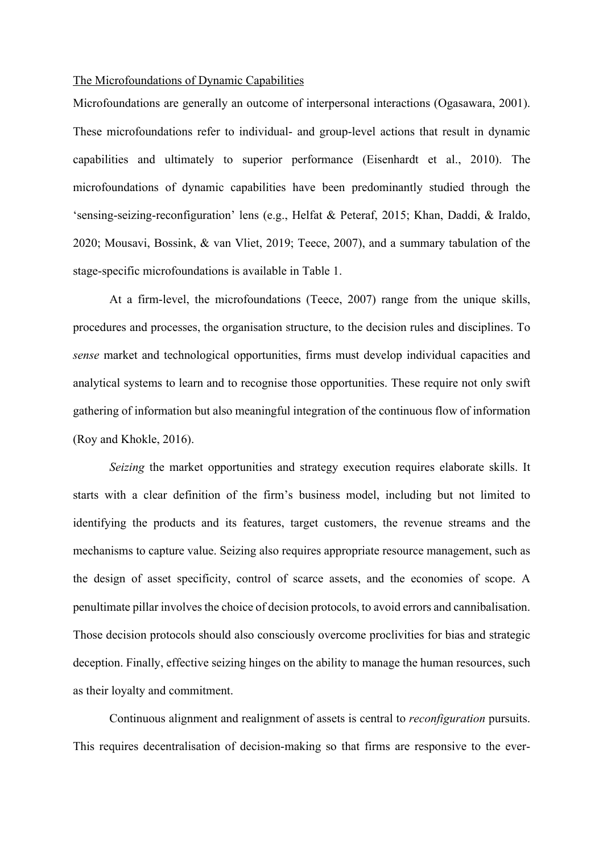#### The Microfoundations of Dynamic Capabilities

Microfoundations are generally an outcome of interpersonal interactions (Ogasawara, 2001). These microfoundations refer to individual- and group-level actions that result in dynamic capabilities and ultimately to superior performance (Eisenhardt et al., 2010). The microfoundations of dynamic capabilities have been predominantly studied through the 'sensing-seizing-reconfiguration' lens (e.g., Helfat & Peteraf, 2015; Khan, Daddi, & Iraldo, 2020; Mousavi, Bossink, & van Vliet, 2019; Teece, 2007), and a summary tabulation of the stage-specific microfoundations is available in Table 1.

At a firm-level, the microfoundations (Teece, 2007) range from the unique skills, procedures and processes, the organisation structure, to the decision rules and disciplines. To *sense* market and technological opportunities, firms must develop individual capacities and analytical systems to learn and to recognise those opportunities. These require not only swift gathering of information but also meaningful integration of the continuous flow of information (Roy and Khokle, 2016).

*Seizing* the market opportunities and strategy execution requires elaborate skills. It starts with a clear definition of the firm's business model, including but not limited to identifying the products and its features, target customers, the revenue streams and the mechanisms to capture value. Seizing also requires appropriate resource management, such as the design of asset specificity, control of scarce assets, and the economies of scope. A penultimate pillar involves the choice of decision protocols, to avoid errors and cannibalisation. Those decision protocols should also consciously overcome proclivities for bias and strategic deception. Finally, effective seizing hinges on the ability to manage the human resources, such as their loyalty and commitment.

Continuous alignment and realignment of assets is central to *reconfiguration* pursuits. This requires decentralisation of decision-making so that firms are responsive to the ever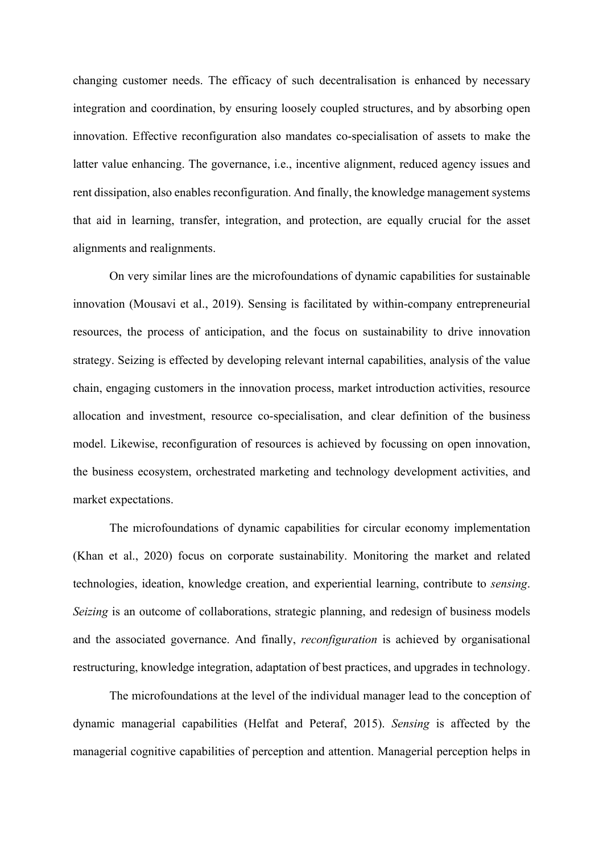changing customer needs. The efficacy of such decentralisation is enhanced by necessary integration and coordination, by ensuring loosely coupled structures, and by absorbing open innovation. Effective reconfiguration also mandates co-specialisation of assets to make the latter value enhancing. The governance, i.e., incentive alignment, reduced agency issues and rent dissipation, also enables reconfiguration. And finally, the knowledge management systems that aid in learning, transfer, integration, and protection, are equally crucial for the asset alignments and realignments.

On very similar lines are the microfoundations of dynamic capabilities for sustainable innovation (Mousavi et al., 2019). Sensing is facilitated by within-company entrepreneurial resources, the process of anticipation, and the focus on sustainability to drive innovation strategy. Seizing is effected by developing relevant internal capabilities, analysis of the value chain, engaging customers in the innovation process, market introduction activities, resource allocation and investment, resource co-specialisation, and clear definition of the business model. Likewise, reconfiguration of resources is achieved by focussing on open innovation, the business ecosystem, orchestrated marketing and technology development activities, and market expectations.

The microfoundations of dynamic capabilities for circular economy implementation (Khan et al., 2020) focus on corporate sustainability. Monitoring the market and related technologies, ideation, knowledge creation, and experiential learning, contribute to *sensing*. *Seizing* is an outcome of collaborations, strategic planning, and redesign of business models and the associated governance. And finally, *reconfiguration* is achieved by organisational restructuring, knowledge integration, adaptation of best practices, and upgrades in technology.

The microfoundations at the level of the individual manager lead to the conception of dynamic managerial capabilities (Helfat and Peteraf, 2015). *Sensing* is affected by the managerial cognitive capabilities of perception and attention. Managerial perception helps in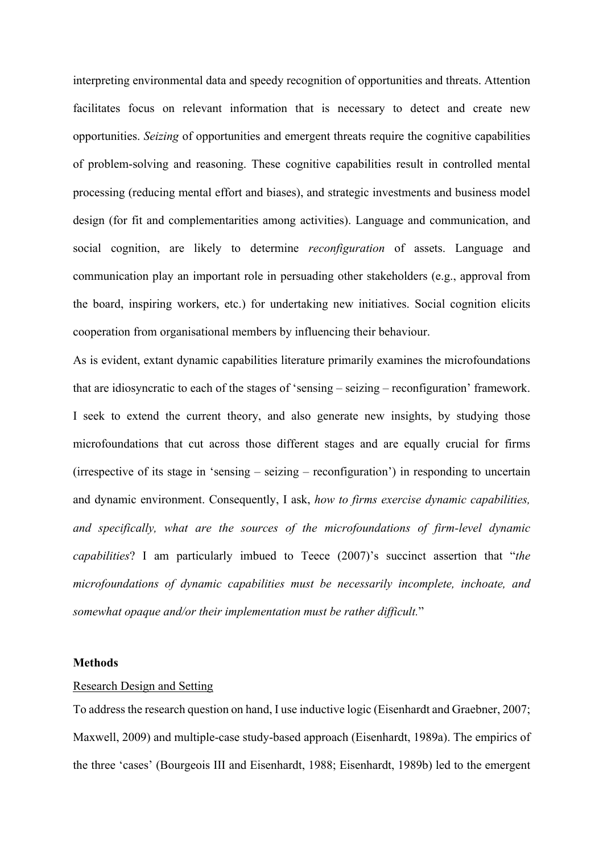interpreting environmental data and speedy recognition of opportunities and threats. Attention facilitates focus on relevant information that is necessary to detect and create new opportunities. *Seizing* of opportunities and emergent threats require the cognitive capabilities of problem-solving and reasoning. These cognitive capabilities result in controlled mental processing (reducing mental effort and biases), and strategic investments and business model design (for fit and complementarities among activities). Language and communication, and social cognition, are likely to determine *reconfiguration* of assets. Language and communication play an important role in persuading other stakeholders (e.g., approval from the board, inspiring workers, etc.) for undertaking new initiatives. Social cognition elicits cooperation from organisational members by influencing their behaviour.

As is evident, extant dynamic capabilities literature primarily examines the microfoundations that are idiosyncratic to each of the stages of 'sensing – seizing – reconfiguration' framework. I seek to extend the current theory, and also generate new insights, by studying those microfoundations that cut across those different stages and are equally crucial for firms (irrespective of its stage in 'sensing – seizing – reconfiguration') in responding to uncertain and dynamic environment. Consequently, I ask, *how to firms exercise dynamic capabilities, and specifically, what are the sources of the microfoundations of firm-level dynamic capabilities*? I am particularly imbued to Teece (2007)'s succinct assertion that "*the microfoundations of dynamic capabilities must be necessarily incomplete, inchoate, and somewhat opaque and/or their implementation must be rather difficult.*"

#### **Methods**

#### Research Design and Setting

To address the research question on hand, I use inductive logic (Eisenhardt and Graebner, 2007; Maxwell, 2009) and multiple-case study-based approach (Eisenhardt, 1989a). The empirics of the three 'cases' (Bourgeois III and Eisenhardt, 1988; Eisenhardt, 1989b) led to the emergent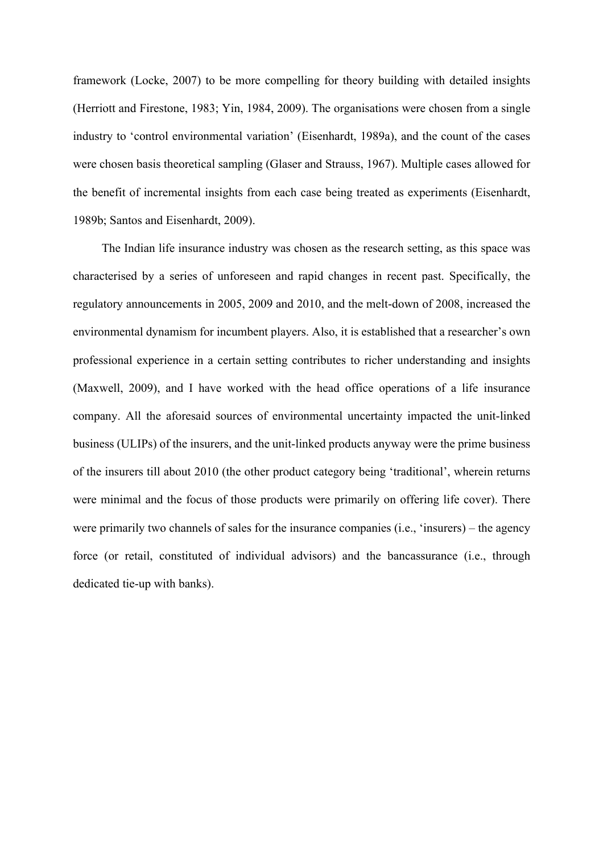framework (Locke, 2007) to be more compelling for theory building with detailed insights (Herriott and Firestone, 1983; Yin, 1984, 2009). The organisations were chosen from a single industry to 'control environmental variation' (Eisenhardt, 1989a), and the count of the cases were chosen basis theoretical sampling (Glaser and Strauss, 1967). Multiple cases allowed for the benefit of incremental insights from each case being treated as experiments (Eisenhardt, 1989b; Santos and Eisenhardt, 2009).

The Indian life insurance industry was chosen as the research setting, as this space was characterised by a series of unforeseen and rapid changes in recent past. Specifically, the regulatory announcements in 2005, 2009 and 2010, and the melt-down of 2008, increased the environmental dynamism for incumbent players. Also, it is established that a researcher's own professional experience in a certain setting contributes to richer understanding and insights (Maxwell, 2009), and I have worked with the head office operations of a life insurance company. All the aforesaid sources of environmental uncertainty impacted the unit-linked business (ULIPs) of the insurers, and the unit-linked products anyway were the prime business of the insurers till about 2010 (the other product category being 'traditional', wherein returns were minimal and the focus of those products were primarily on offering life cover). There were primarily two channels of sales for the insurance companies (i.e., 'insurers) – the agency force (or retail, constituted of individual advisors) and the bancassurance (i.e., through dedicated tie-up with banks).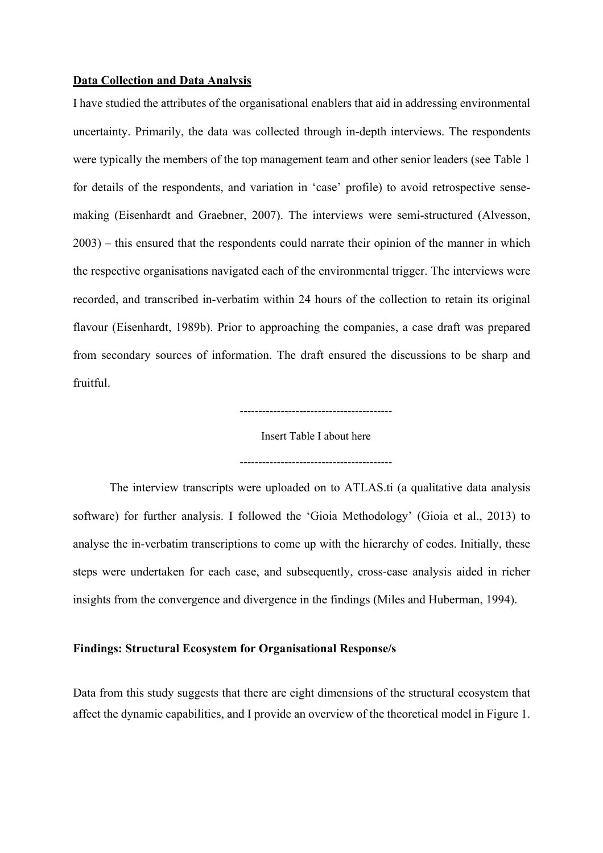#### **Data Collection and Data Analysis**

I have studied the attributes of the organisational enablers that aid in addressing environmental uncertainty. Primarily, the data was collected through in-depth interviews. The respondents were typically the members of the top management team and other senior leaders (see Table 1 for details of the respondents, and variation in 'case' profile) to avoid retrospective sensemaking (Eisenhardt and Graebner, 2007). The interviews were semi-structured (Alvesson, 2003) – this ensured that the respondents could narrate their opinion of the manner in which the respective organisations navigated each of the environmental trigger. The interviews were recorded, and transcribed in-verbatim within 24 hours of the collection to retain its original flavour (Eisenhardt, 1989b). Prior to approaching the companies, a case draft was prepared from secondary sources of information. The draft ensured the discussions to be sharp and fruitful.

-----------------------------------------

Insert Table I about here

-----------------------------------------

The interview transcripts were uploaded on to ATLAS.ti (a qualitative data analysis software) for further analysis. I followed the 'Gioia Methodology' (Gioia et al., 2013) to analyse the in-verbatim transcriptions to come up with the hierarchy of codes. Initially, these steps were undertaken for each case, and subsequently, cross-case analysis aided in richer insights from the convergence and divergence in the findings (Miles and Huberman, 1994).

#### **Findings: Structural Ecosystem for Organisational Response/s**

Data from this study suggests that there are eight dimensions of the structural ecosystem that affect the dynamic capabilities, and I provide an overview of the theoretical model in Figure 1.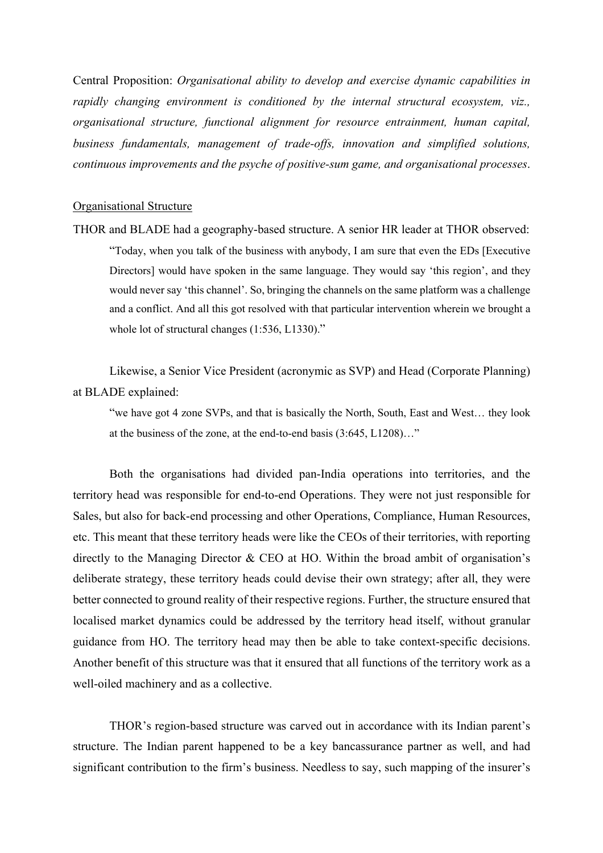Central Proposition: *Organisational ability to develop and exercise dynamic capabilities in rapidly changing environment is conditioned by the internal structural ecosystem, viz., organisational structure, functional alignment for resource entrainment, human capital, business fundamentals, management of trade-offs, innovation and simplified solutions, continuous improvements and the psyche of positive-sum game, and organisational processes*.

#### Organisational Structure

THOR and BLADE had a geography-based structure. A senior HR leader at THOR observed: "Today, when you talk of the business with anybody, I am sure that even the EDs [Executive Directors] would have spoken in the same language. They would say 'this region', and they would never say 'this channel'. So, bringing the channels on the same platform was a challenge and a conflict. And all this got resolved with that particular intervention wherein we brought a whole lot of structural changes (1:536, L1330)."

Likewise, a Senior Vice President (acronymic as SVP) and Head (Corporate Planning) at BLADE explained:

"we have got 4 zone SVPs, and that is basically the North, South, East and West… they look at the business of the zone, at the end-to-end basis (3:645, L1208)…"

Both the organisations had divided pan-India operations into territories, and the territory head was responsible for end-to-end Operations. They were not just responsible for Sales, but also for back-end processing and other Operations, Compliance, Human Resources, etc. This meant that these territory heads were like the CEOs of their territories, with reporting directly to the Managing Director & CEO at HO. Within the broad ambit of organisation's deliberate strategy, these territory heads could devise their own strategy; after all, they were better connected to ground reality of their respective regions. Further, the structure ensured that localised market dynamics could be addressed by the territory head itself, without granular guidance from HO. The territory head may then be able to take context-specific decisions. Another benefit of this structure was that it ensured that all functions of the territory work as a well-oiled machinery and as a collective.

THOR's region-based structure was carved out in accordance with its Indian parent's structure. The Indian parent happened to be a key bancassurance partner as well, and had significant contribution to the firm's business. Needless to say, such mapping of the insurer's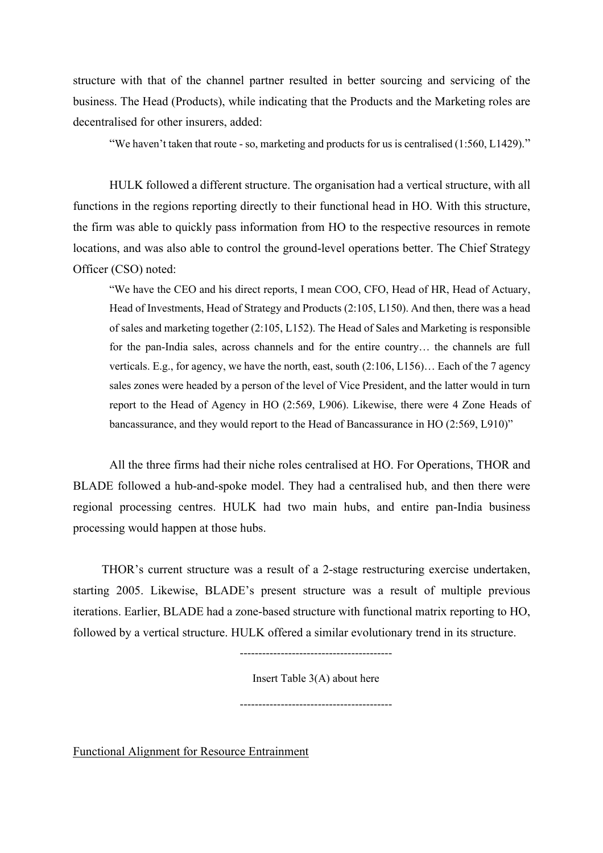structure with that of the channel partner resulted in better sourcing and servicing of the business. The Head (Products), while indicating that the Products and the Marketing roles are decentralised for other insurers, added:

"We haven't taken that route - so, marketing and products for us is centralised (1:560, L1429)."

HULK followed a different structure. The organisation had a vertical structure, with all functions in the regions reporting directly to their functional head in HO. With this structure, the firm was able to quickly pass information from HO to the respective resources in remote locations, and was also able to control the ground-level operations better. The Chief Strategy Officer (CSO) noted:

"We have the CEO and his direct reports, I mean COO, CFO, Head of HR, Head of Actuary, Head of Investments, Head of Strategy and Products (2:105, L150). And then, there was a head of sales and marketing together (2:105, L152). The Head of Sales and Marketing is responsible for the pan-India sales, across channels and for the entire country… the channels are full verticals. E.g., for agency, we have the north, east, south (2:106, L156)… Each of the 7 agency sales zones were headed by a person of the level of Vice President, and the latter would in turn report to the Head of Agency in HO (2:569, L906). Likewise, there were 4 Zone Heads of bancassurance, and they would report to the Head of Bancassurance in HO (2:569, L910)"

All the three firms had their niche roles centralised at HO. For Operations, THOR and BLADE followed a hub-and-spoke model. They had a centralised hub, and then there were regional processing centres. HULK had two main hubs, and entire pan-India business processing would happen at those hubs.

THOR's current structure was a result of a 2-stage restructuring exercise undertaken, starting 2005. Likewise, BLADE's present structure was a result of multiple previous iterations. Earlier, BLADE had a zone-based structure with functional matrix reporting to HO, followed by a vertical structure. HULK offered a similar evolutionary trend in its structure.

-----------------------------------------

Insert Table 3(A) about here

-----------------------------------------

Functional Alignment for Resource Entrainment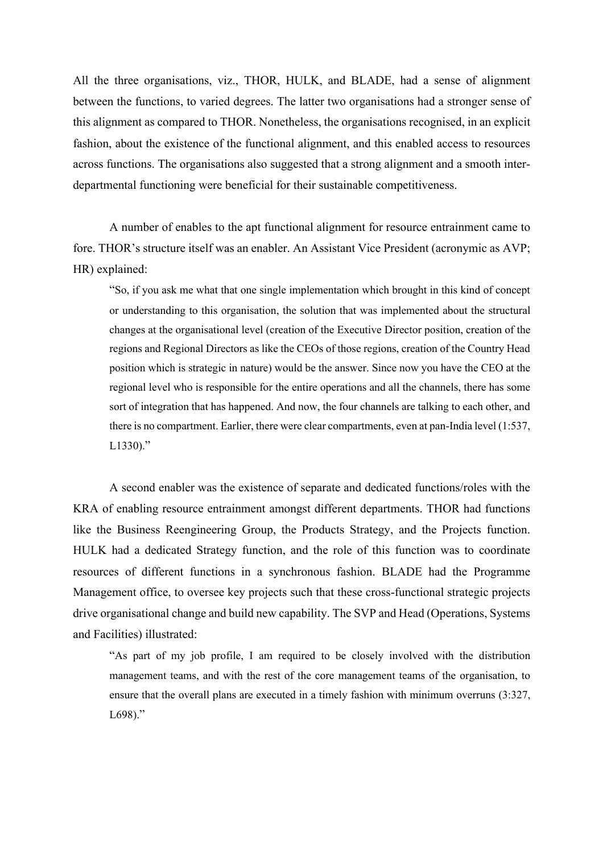All the three organisations, viz., THOR, HULK, and BLADE, had a sense of alignment between the functions, to varied degrees. The latter two organisations had a stronger sense of this alignment as compared to THOR. Nonetheless, the organisations recognised, in an explicit fashion, about the existence of the functional alignment, and this enabled access to resources across functions. The organisations also suggested that a strong alignment and a smooth interdepartmental functioning were beneficial for their sustainable competitiveness.

A number of enables to the apt functional alignment for resource entrainment came to fore. THOR's structure itself was an enabler. An Assistant Vice President (acronymic as AVP; HR) explained:

"So, if you ask me what that one single implementation which brought in this kind of concept or understanding to this organisation, the solution that was implemented about the structural changes at the organisational level (creation of the Executive Director position, creation of the regions and Regional Directors as like the CEOs of those regions, creation of the Country Head position which is strategic in nature) would be the answer. Since now you have the CEO at the regional level who is responsible for the entire operations and all the channels, there has some sort of integration that has happened. And now, the four channels are talking to each other, and there is no compartment. Earlier, there were clear compartments, even at pan-India level (1:537,  $L1330$ ."

A second enabler was the existence of separate and dedicated functions/roles with the KRA of enabling resource entrainment amongst different departments. THOR had functions like the Business Reengineering Group, the Products Strategy, and the Projects function. HULK had a dedicated Strategy function, and the role of this function was to coordinate resources of different functions in a synchronous fashion. BLADE had the Programme Management office, to oversee key projects such that these cross-functional strategic projects drive organisational change and build new capability. The SVP and Head (Operations, Systems and Facilities) illustrated:

"As part of my job profile, I am required to be closely involved with the distribution management teams, and with the rest of the core management teams of the organisation, to ensure that the overall plans are executed in a timely fashion with minimum overruns (3:327, L698)."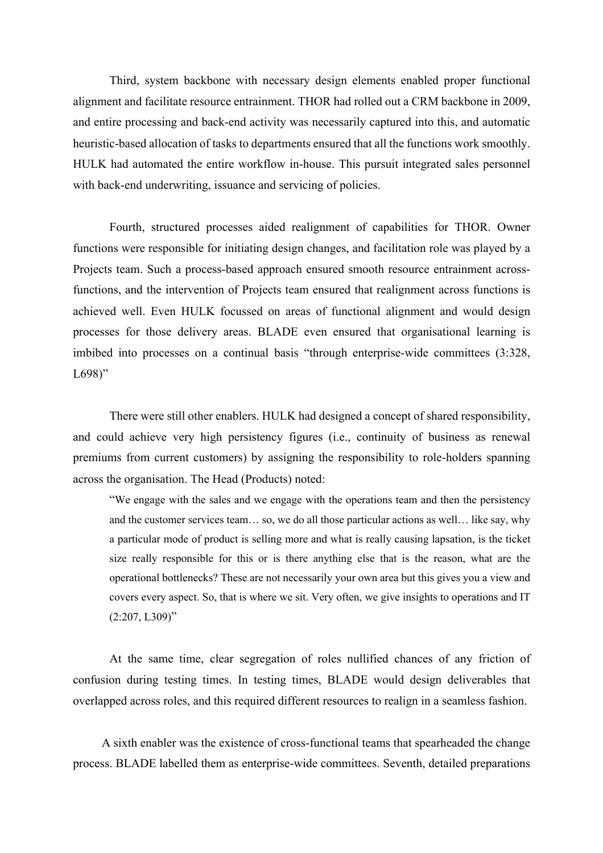Third, system backbone with necessary design elements enabled proper functional alignment and facilitate resource entrainment. THOR had rolled out a CRM backbone in 2009, and entire processing and back-end activity was necessarily captured into this, and automatic heuristic-based allocation of tasks to departments ensured that all the functions work smoothly. HULK had automated the entire workflow in-house. This pursuit integrated sales personnel with back-end underwriting, issuance and servicing of policies.

Fourth, structured processes aided realignment of capabilities for THOR. Owner functions were responsible for initiating design changes, and facilitation role was played by a Projects team. Such a process-based approach ensured smooth resource entrainment acrossfunctions, and the intervention of Projects team ensured that realignment across functions is achieved well. Even HULK focussed on areas of functional alignment and would design processes for those delivery areas. BLADE even ensured that organisational learning is imbibed into processes on a continual basis "through enterprise-wide committees (3:328,  $L698$ "

There were still other enablers. HULK had designed a concept of shared responsibility, and could achieve very high persistency figures (i.e., continuity of business as renewal premiums from current customers) by assigning the responsibility to role-holders spanning across the organisation. The Head (Products) noted:

"We engage with the sales and we engage with the operations team and then the persistency and the customer services team… so, we do all those particular actions as well… like say, why a particular mode of product is selling more and what is really causing lapsation, is the ticket size really responsible for this or is there anything else that is the reason, what are the operational bottlenecks? These are not necessarily your own area but this gives you a view and covers every aspect. So, that is where we sit. Very often, we give insights to operations and IT  $(2:207, L309)$ "

At the same time, clear segregation of roles nullified chances of any friction of confusion during testing times. In testing times, BLADE would design deliverables that overlapped across roles, and this required different resources to realign in a seamless fashion.

A sixth enabler was the existence of cross-functional teams that spearheaded the change process. BLADE labelled them as enterprise-wide committees. Seventh, detailed preparations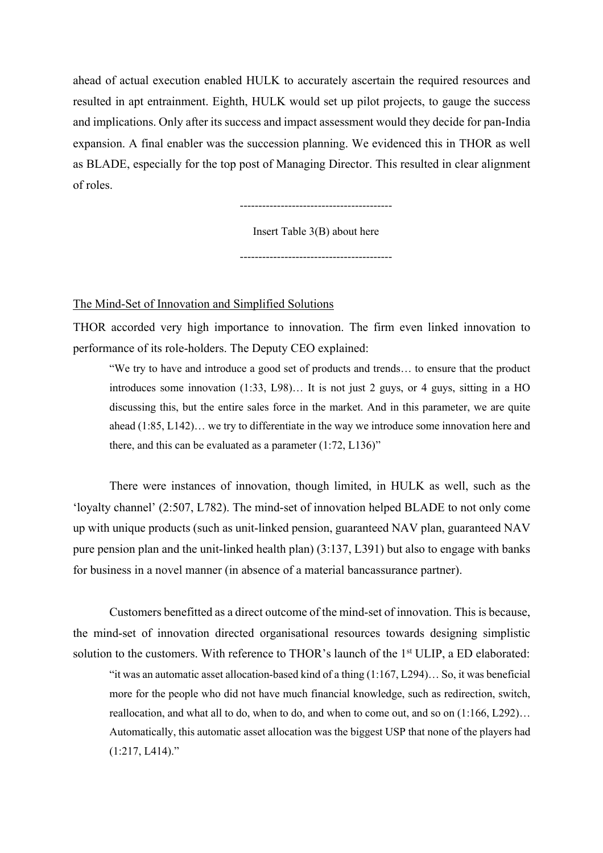ahead of actual execution enabled HULK to accurately ascertain the required resources and resulted in apt entrainment. Eighth, HULK would set up pilot projects, to gauge the success and implications. Only after its success and impact assessment would they decide for pan-India expansion. A final enabler was the succession planning. We evidenced this in THOR as well as BLADE, especially for the top post of Managing Director. This resulted in clear alignment of roles.

-----------------------------------------

Insert Table 3(B) about here

-----------------------------------------

#### The Mind-Set of Innovation and Simplified Solutions

THOR accorded very high importance to innovation. The firm even linked innovation to performance of its role-holders. The Deputy CEO explained:

"We try to have and introduce a good set of products and trends… to ensure that the product introduces some innovation (1:33, L98)… It is not just 2 guys, or 4 guys, sitting in a HO discussing this, but the entire sales force in the market. And in this parameter, we are quite ahead (1:85, L142)… we try to differentiate in the way we introduce some innovation here and there, and this can be evaluated as a parameter (1:72, L136)"

There were instances of innovation, though limited, in HULK as well, such as the 'loyalty channel' (2:507, L782). The mind-set of innovation helped BLADE to not only come up with unique products (such as unit-linked pension, guaranteed NAV plan, guaranteed NAV pure pension plan and the unit-linked health plan) (3:137, L391) but also to engage with banks for business in a novel manner (in absence of a material bancassurance partner).

Customers benefitted as a direct outcome of the mind-set of innovation. This is because, the mind-set of innovation directed organisational resources towards designing simplistic solution to the customers. With reference to THOR's launch of the 1<sup>st</sup> ULIP, a ED elaborated: "it was an automatic asset allocation-based kind of a thing  $(1:167, L294)$ ... So, it was beneficial more for the people who did not have much financial knowledge, such as redirection, switch, reallocation, and what all to do, when to do, and when to come out, and so on (1:166, L292)… Automatically, this automatic asset allocation was the biggest USP that none of the players had (1:217, L414)."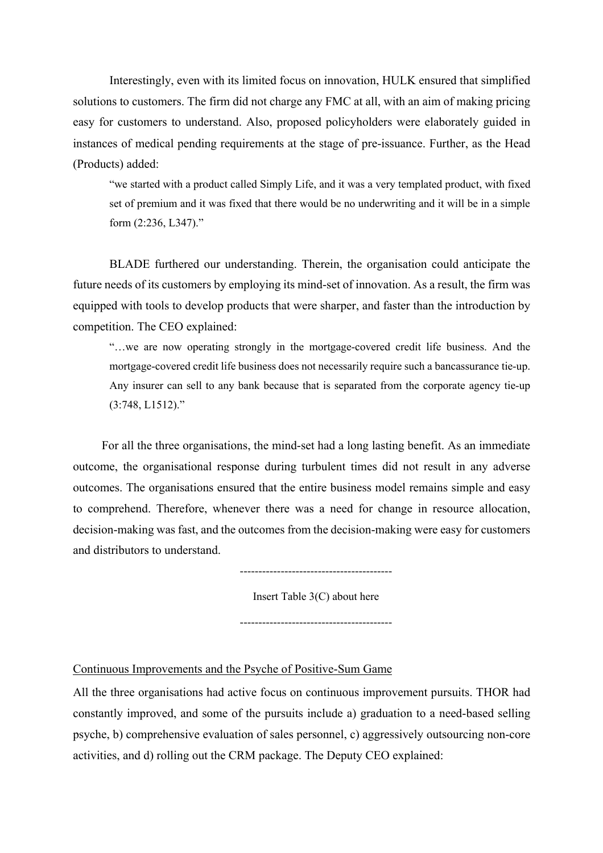Interestingly, even with its limited focus on innovation, HULK ensured that simplified solutions to customers. The firm did not charge any FMC at all, with an aim of making pricing easy for customers to understand. Also, proposed policyholders were elaborately guided in instances of medical pending requirements at the stage of pre-issuance. Further, as the Head (Products) added:

"we started with a product called Simply Life, and it was a very templated product, with fixed set of premium and it was fixed that there would be no underwriting and it will be in a simple form (2:236, L347)."

BLADE furthered our understanding. Therein, the organisation could anticipate the future needs of its customers by employing its mind-set of innovation. As a result, the firm was equipped with tools to develop products that were sharper, and faster than the introduction by competition. The CEO explained:

"…we are now operating strongly in the mortgage-covered credit life business. And the mortgage-covered credit life business does not necessarily require such a bancassurance tie-up. Any insurer can sell to any bank because that is separated from the corporate agency tie-up (3:748, L1512)."

For all the three organisations, the mind-set had a long lasting benefit. As an immediate outcome, the organisational response during turbulent times did not result in any adverse outcomes. The organisations ensured that the entire business model remains simple and easy to comprehend. Therefore, whenever there was a need for change in resource allocation, decision-making was fast, and the outcomes from the decision-making were easy for customers and distributors to understand.

 $-$ 

Insert Table 3(C) about here

-----------------------------------------

Continuous Improvements and the Psyche of Positive-Sum Game

All the three organisations had active focus on continuous improvement pursuits. THOR had constantly improved, and some of the pursuits include a) graduation to a need-based selling psyche, b) comprehensive evaluation of sales personnel, c) aggressively outsourcing non-core activities, and d) rolling out the CRM package. The Deputy CEO explained: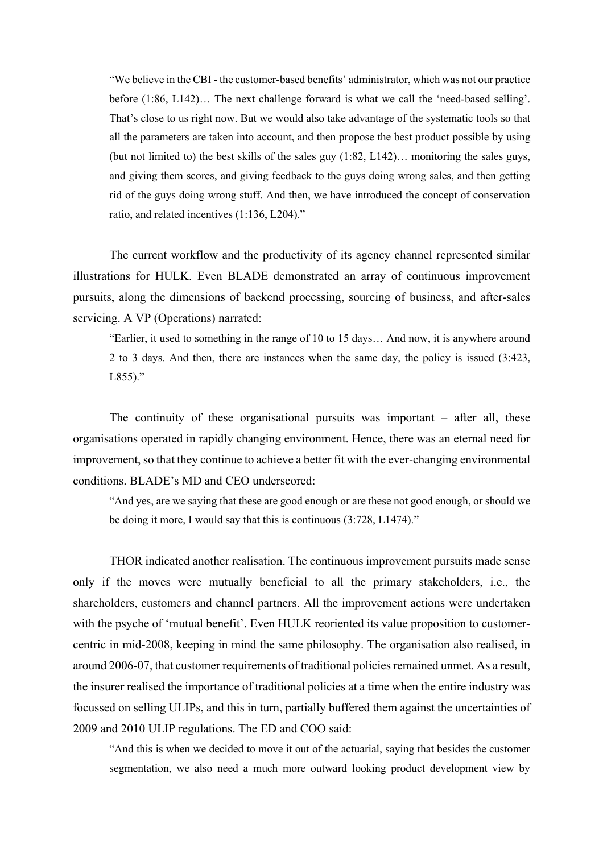"We believe in the CBI - the customer-based benefits' administrator, which was not our practice before (1:86, L142)… The next challenge forward is what we call the 'need-based selling'. That's close to us right now. But we would also take advantage of the systematic tools so that all the parameters are taken into account, and then propose the best product possible by using (but not limited to) the best skills of the sales guy  $(1:82, L142)$ ... monitoring the sales guys, and giving them scores, and giving feedback to the guys doing wrong sales, and then getting rid of the guys doing wrong stuff. And then, we have introduced the concept of conservation ratio, and related incentives (1:136, L204)."

The current workflow and the productivity of its agency channel represented similar illustrations for HULK. Even BLADE demonstrated an array of continuous improvement pursuits, along the dimensions of backend processing, sourcing of business, and after-sales servicing. A VP (Operations) narrated:

"Earlier, it used to something in the range of 10 to 15 days… And now, it is anywhere around 2 to 3 days. And then, there are instances when the same day, the policy is issued (3:423,  $L855$ )."

The continuity of these organisational pursuits was important – after all, these organisations operated in rapidly changing environment. Hence, there was an eternal need for improvement, so that they continue to achieve a better fit with the ever-changing environmental conditions. BLADE's MD and CEO underscored:

"And yes, are we saying that these are good enough or are these not good enough, or should we be doing it more, I would say that this is continuous (3:728, L1474)."

THOR indicated another realisation. The continuous improvement pursuits made sense only if the moves were mutually beneficial to all the primary stakeholders, i.e., the shareholders, customers and channel partners. All the improvement actions were undertaken with the psyche of 'mutual benefit'. Even HULK reoriented its value proposition to customercentric in mid-2008, keeping in mind the same philosophy. The organisation also realised, in around 2006-07, that customer requirements of traditional policies remained unmet. As a result, the insurer realised the importance of traditional policies at a time when the entire industry was focussed on selling ULIPs, and this in turn, partially buffered them against the uncertainties of 2009 and 2010 ULIP regulations. The ED and COO said:

"And this is when we decided to move it out of the actuarial, saying that besides the customer segmentation, we also need a much more outward looking product development view by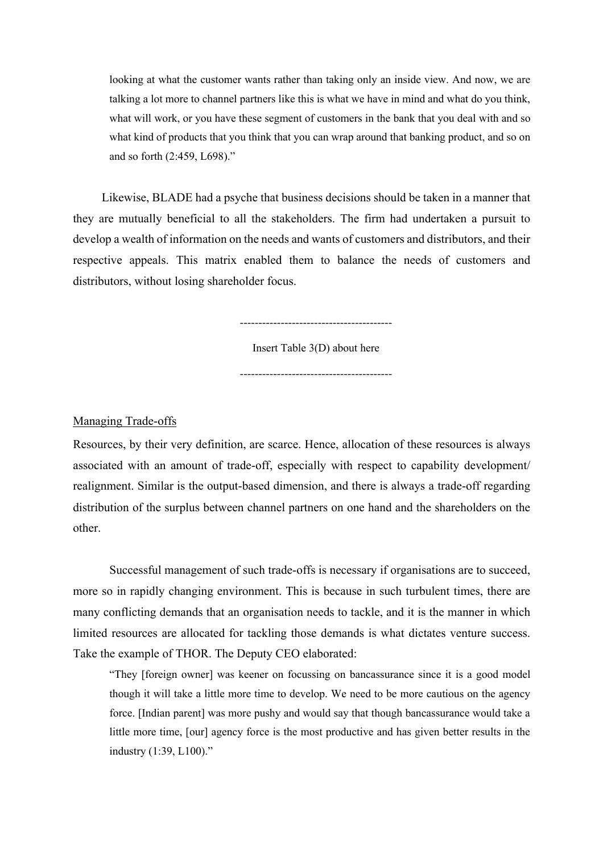looking at what the customer wants rather than taking only an inside view. And now, we are talking a lot more to channel partners like this is what we have in mind and what do you think, what will work, or you have these segment of customers in the bank that you deal with and so what kind of products that you think that you can wrap around that banking product, and so on and so forth (2:459, L698)."

Likewise, BLADE had a psyche that business decisions should be taken in a manner that they are mutually beneficial to all the stakeholders. The firm had undertaken a pursuit to develop a wealth of information on the needs and wants of customers and distributors, and their respective appeals. This matrix enabled them to balance the needs of customers and distributors, without losing shareholder focus.

-----------------------------------------

Insert Table 3(D) about here

-----------------------------------------

Managing Trade-offs

Resources, by their very definition, are scarce. Hence, allocation of these resources is always associated with an amount of trade-off, especially with respect to capability development/ realignment. Similar is the output-based dimension, and there is always a trade-off regarding distribution of the surplus between channel partners on one hand and the shareholders on the other.

Successful management of such trade-offs is necessary if organisations are to succeed, more so in rapidly changing environment. This is because in such turbulent times, there are many conflicting demands that an organisation needs to tackle, and it is the manner in which limited resources are allocated for tackling those demands is what dictates venture success. Take the example of THOR. The Deputy CEO elaborated:

"They [foreign owner] was keener on focussing on bancassurance since it is a good model though it will take a little more time to develop. We need to be more cautious on the agency force. [Indian parent] was more pushy and would say that though bancassurance would take a little more time, [our] agency force is the most productive and has given better results in the industry (1:39, L100)."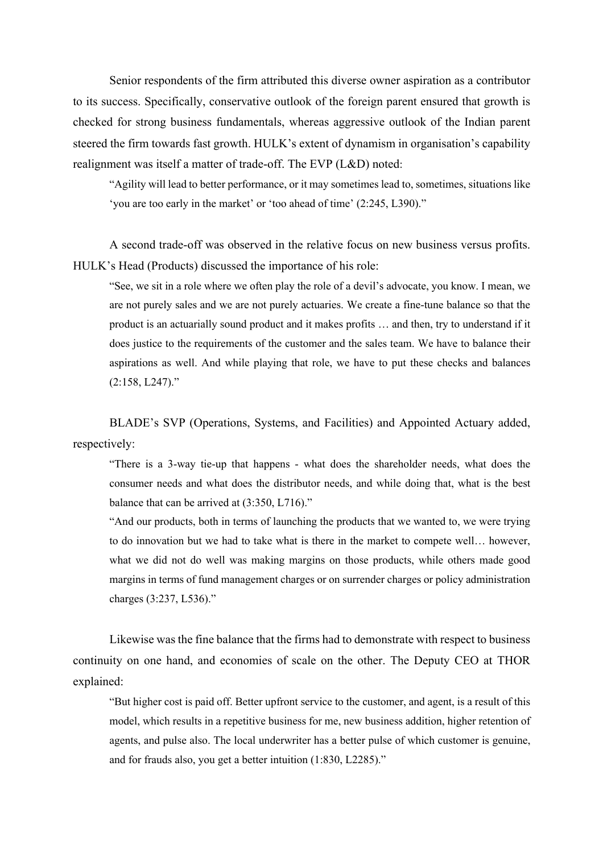Senior respondents of the firm attributed this diverse owner aspiration as a contributor to its success. Specifically, conservative outlook of the foreign parent ensured that growth is checked for strong business fundamentals, whereas aggressive outlook of the Indian parent steered the firm towards fast growth. HULK's extent of dynamism in organisation's capability realignment was itself a matter of trade-off. The EVP (L&D) noted:

"Agility will lead to better performance, or it may sometimes lead to, sometimes, situations like 'you are too early in the market' or 'too ahead of time' (2:245, L390)."

A second trade-off was observed in the relative focus on new business versus profits. HULK's Head (Products) discussed the importance of his role:

"See, we sit in a role where we often play the role of a devil's advocate, you know. I mean, we are not purely sales and we are not purely actuaries. We create a fine-tune balance so that the product is an actuarially sound product and it makes profits … and then, try to understand if it does justice to the requirements of the customer and the sales team. We have to balance their aspirations as well. And while playing that role, we have to put these checks and balances (2:158, L247)."

BLADE's SVP (Operations, Systems, and Facilities) and Appointed Actuary added, respectively:

"There is a 3-way tie-up that happens - what does the shareholder needs, what does the consumer needs and what does the distributor needs, and while doing that, what is the best balance that can be arrived at (3:350, L716)."

"And our products, both in terms of launching the products that we wanted to, we were trying to do innovation but we had to take what is there in the market to compete well… however, what we did not do well was making margins on those products, while others made good margins in terms of fund management charges or on surrender charges or policy administration charges (3:237, L536)."

Likewise was the fine balance that the firms had to demonstrate with respect to business continuity on one hand, and economies of scale on the other. The Deputy CEO at THOR explained:

"But higher cost is paid off. Better upfront service to the customer, and agent, is a result of this model, which results in a repetitive business for me, new business addition, higher retention of agents, and pulse also. The local underwriter has a better pulse of which customer is genuine, and for frauds also, you get a better intuition (1:830, L2285)."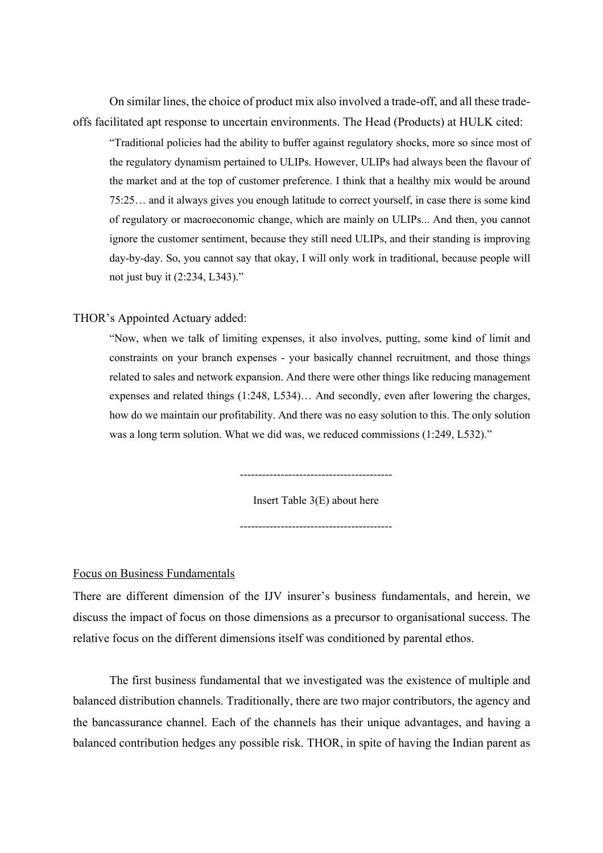On similar lines, the choice of product mix also involved a trade-off, and all these tradeoffs facilitated apt response to uncertain environments. The Head (Products) at HULK cited:

"Traditional policies had the ability to buffer against regulatory shocks, more so since most of the regulatory dynamism pertained to ULIPs. However, ULIPs had always been the flavour of the market and at the top of customer preference. I think that a healthy mix would be around 75:25… and it always gives you enough latitude to correct yourself, in case there is some kind of regulatory or macroeconomic change, which are mainly on ULIPs... And then, you cannot ignore the customer sentiment, because they still need ULIPs, and their standing is improving day-by-day. So, you cannot say that okay, I will only work in traditional, because people will not just buy it (2:234, L343)."

#### THOR's Appointed Actuary added:

"Now, when we talk of limiting expenses, it also involves, putting, some kind of limit and constraints on your branch expenses - your basically channel recruitment, and those things related to sales and network expansion. And there were other things like reducing management expenses and related things (1:248, L534)… And secondly, even after lowering the charges, how do we maintain our profitability. And there was no easy solution to this. The only solution was a long term solution. What we did was, we reduced commissions (1:249, L532)."

-----------------------------------------

Insert Table 3(E) about here -----------------------------------------

#### Focus on Business Fundamentals

There are different dimension of the IJV insurer's business fundamentals, and herein, we discuss the impact of focus on those dimensions as a precursor to organisational success. The relative focus on the different dimensions itself was conditioned by parental ethos.

The first business fundamental that we investigated was the existence of multiple and balanced distribution channels. Traditionally, there are two major contributors, the agency and the bancassurance channel. Each of the channels has their unique advantages, and having a balanced contribution hedges any possible risk. THOR, in spite of having the Indian parent as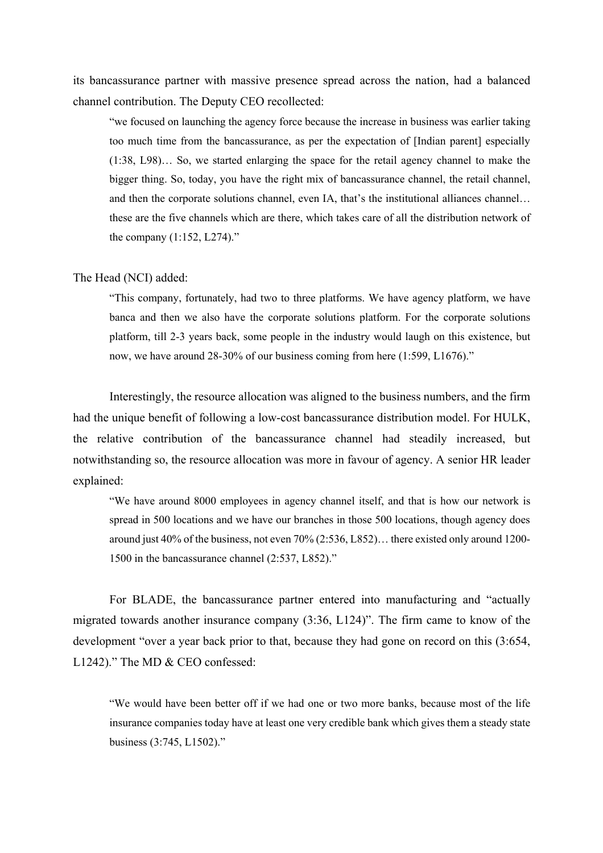its bancassurance partner with massive presence spread across the nation, had a balanced channel contribution. The Deputy CEO recollected:

"we focused on launching the agency force because the increase in business was earlier taking too much time from the bancassurance, as per the expectation of [Indian parent] especially (1:38, L98)… So, we started enlarging the space for the retail agency channel to make the bigger thing. So, today, you have the right mix of bancassurance channel, the retail channel, and then the corporate solutions channel, even IA, that's the institutional alliances channel… these are the five channels which are there, which takes care of all the distribution network of the company (1:152, L274)."

#### The Head (NCI) added:

"This company, fortunately, had two to three platforms. We have agency platform, we have banca and then we also have the corporate solutions platform. For the corporate solutions platform, till 2-3 years back, some people in the industry would laugh on this existence, but now, we have around 28-30% of our business coming from here (1:599, L1676)."

Interestingly, the resource allocation was aligned to the business numbers, and the firm had the unique benefit of following a low-cost bancassurance distribution model. For HULK, the relative contribution of the bancassurance channel had steadily increased, but notwithstanding so, the resource allocation was more in favour of agency. A senior HR leader explained:

"We have around 8000 employees in agency channel itself, and that is how our network is spread in 500 locations and we have our branches in those 500 locations, though agency does around just 40% of the business, not even 70% (2:536, L852)… there existed only around 1200- 1500 in the bancassurance channel (2:537, L852)."

For BLADE, the bancassurance partner entered into manufacturing and "actually migrated towards another insurance company (3:36, L124)". The firm came to know of the development "over a year back prior to that, because they had gone on record on this (3:654, L1242)." The MD & CEO confessed:

"We would have been better off if we had one or two more banks, because most of the life insurance companies today have at least one very credible bank which gives them a steady state business (3:745, L1502)."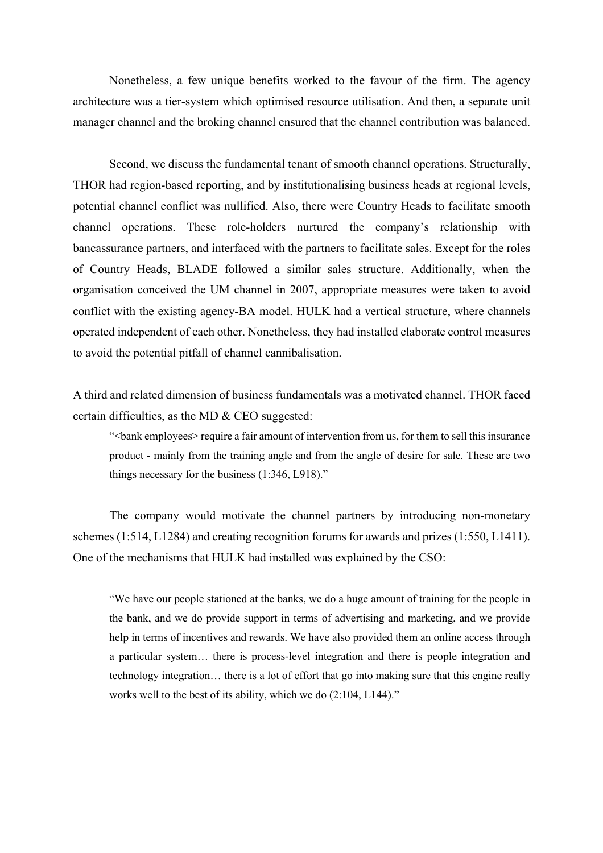Nonetheless, a few unique benefits worked to the favour of the firm. The agency architecture was a tier-system which optimised resource utilisation. And then, a separate unit manager channel and the broking channel ensured that the channel contribution was balanced.

Second, we discuss the fundamental tenant of smooth channel operations. Structurally, THOR had region-based reporting, and by institutionalising business heads at regional levels, potential channel conflict was nullified. Also, there were Country Heads to facilitate smooth channel operations. These role-holders nurtured the company's relationship with bancassurance partners, and interfaced with the partners to facilitate sales. Except for the roles of Country Heads, BLADE followed a similar sales structure. Additionally, when the organisation conceived the UM channel in 2007, appropriate measures were taken to avoid conflict with the existing agency-BA model. HULK had a vertical structure, where channels operated independent of each other. Nonetheless, they had installed elaborate control measures to avoid the potential pitfall of channel cannibalisation.

A third and related dimension of business fundamentals was a motivated channel. THOR faced certain difficulties, as the MD & CEO suggested:

"<bank employees> require a fair amount of intervention from us, for them to sell this insurance product - mainly from the training angle and from the angle of desire for sale. These are two things necessary for the business (1:346, L918)."

The company would motivate the channel partners by introducing non-monetary schemes (1:514, L1284) and creating recognition forums for awards and prizes (1:550, L1411). One of the mechanisms that HULK had installed was explained by the CSO:

"We have our people stationed at the banks, we do a huge amount of training for the people in the bank, and we do provide support in terms of advertising and marketing, and we provide help in terms of incentives and rewards. We have also provided them an online access through a particular system… there is process-level integration and there is people integration and technology integration… there is a lot of effort that go into making sure that this engine really works well to the best of its ability, which we do (2:104, L144)."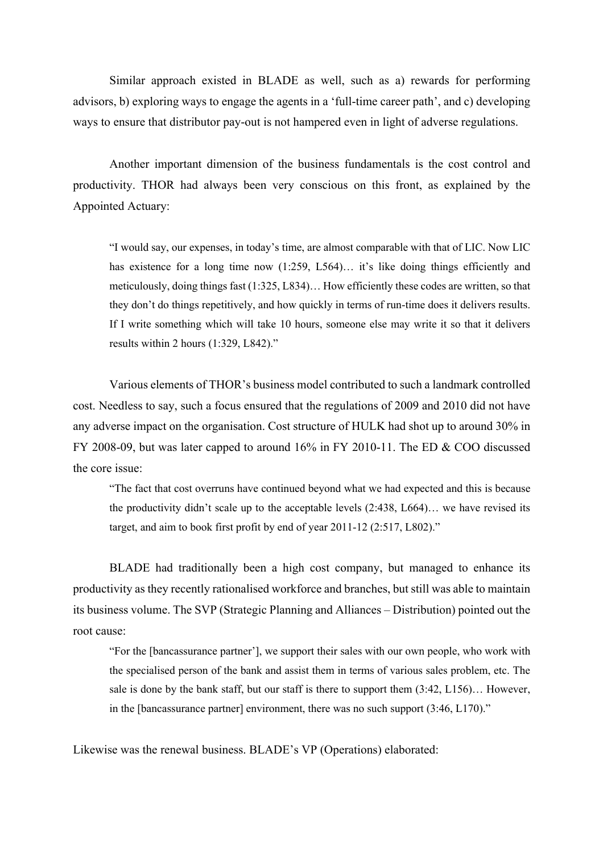Similar approach existed in BLADE as well, such as a) rewards for performing advisors, b) exploring ways to engage the agents in a 'full-time career path', and c) developing ways to ensure that distributor pay-out is not hampered even in light of adverse regulations.

Another important dimension of the business fundamentals is the cost control and productivity. THOR had always been very conscious on this front, as explained by the Appointed Actuary:

"I would say, our expenses, in today's time, are almost comparable with that of LIC. Now LIC has existence for a long time now (1:259, L564)... it's like doing things efficiently and meticulously, doing things fast (1:325, L834)… How efficiently these codes are written, so that they don't do things repetitively, and how quickly in terms of run-time does it delivers results. If I write something which will take 10 hours, someone else may write it so that it delivers results within 2 hours (1:329, L842)."

Various elements of THOR's business model contributed to such a landmark controlled cost. Needless to say, such a focus ensured that the regulations of 2009 and 2010 did not have any adverse impact on the organisation. Cost structure of HULK had shot up to around 30% in FY 2008-09, but was later capped to around 16% in FY 2010-11. The ED & COO discussed the core issue:

"The fact that cost overruns have continued beyond what we had expected and this is because the productivity didn't scale up to the acceptable levels (2:438, L664)… we have revised its target, and aim to book first profit by end of year 2011-12 (2:517, L802)."

BLADE had traditionally been a high cost company, but managed to enhance its productivity as they recently rationalised workforce and branches, but still was able to maintain its business volume. The SVP (Strategic Planning and Alliances – Distribution) pointed out the root cause:

"For the [bancassurance partner'], we support their sales with our own people, who work with the specialised person of the bank and assist them in terms of various sales problem, etc. The sale is done by the bank staff, but our staff is there to support them (3:42, L156)… However, in the [bancassurance partner] environment, there was no such support (3:46, L170)."

Likewise was the renewal business. BLADE's VP (Operations) elaborated: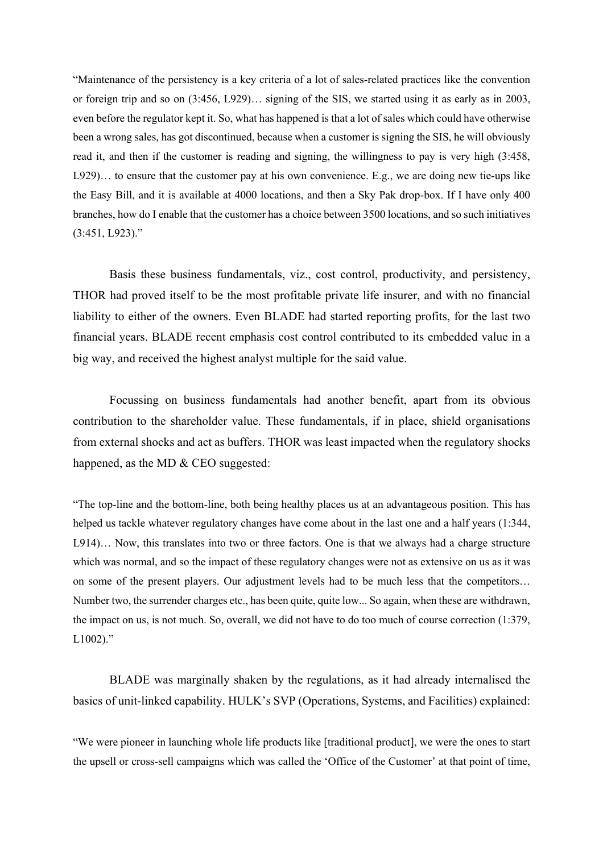"Maintenance of the persistency is a key criteria of a lot of sales-related practices like the convention or foreign trip and so on (3:456, L929)… signing of the SIS, we started using it as early as in 2003, even before the regulator kept it. So, what has happened is that a lot of sales which could have otherwise been a wrong sales, has got discontinued, because when a customer is signing the SIS, he will obviously read it, and then if the customer is reading and signing, the willingness to pay is very high (3:458, L929)… to ensure that the customer pay at his own convenience. E.g., we are doing new tie-ups like the Easy Bill, and it is available at 4000 locations, and then a Sky Pak drop-box. If I have only 400 branches, how do I enable that the customer has a choice between 3500 locations, and so such initiatives (3:451, L923)."

Basis these business fundamentals, viz., cost control, productivity, and persistency, THOR had proved itself to be the most profitable private life insurer, and with no financial liability to either of the owners. Even BLADE had started reporting profits, for the last two financial years. BLADE recent emphasis cost control contributed to its embedded value in a big way, and received the highest analyst multiple for the said value.

Focussing on business fundamentals had another benefit, apart from its obvious contribution to the shareholder value. These fundamentals, if in place, shield organisations from external shocks and act as buffers. THOR was least impacted when the regulatory shocks happened, as the MD & CEO suggested:

"The top-line and the bottom-line, both being healthy places us at an advantageous position. This has helped us tackle whatever regulatory changes have come about in the last one and a half years (1:344, L914)… Now, this translates into two or three factors. One is that we always had a charge structure which was normal, and so the impact of these regulatory changes were not as extensive on us as it was on some of the present players. Our adjustment levels had to be much less that the competitors… Number two, the surrender charges etc., has been quite, quite low... So again, when these are withdrawn, the impact on us, is not much. So, overall, we did not have to do too much of course correction (1:379,  $L1002$ )."

BLADE was marginally shaken by the regulations, as it had already internalised the basics of unit-linked capability. HULK's SVP (Operations, Systems, and Facilities) explained:

"We were pioneer in launching whole life products like [traditional product], we were the ones to start the upsell or cross-sell campaigns which was called the 'Office of the Customer' at that point of time,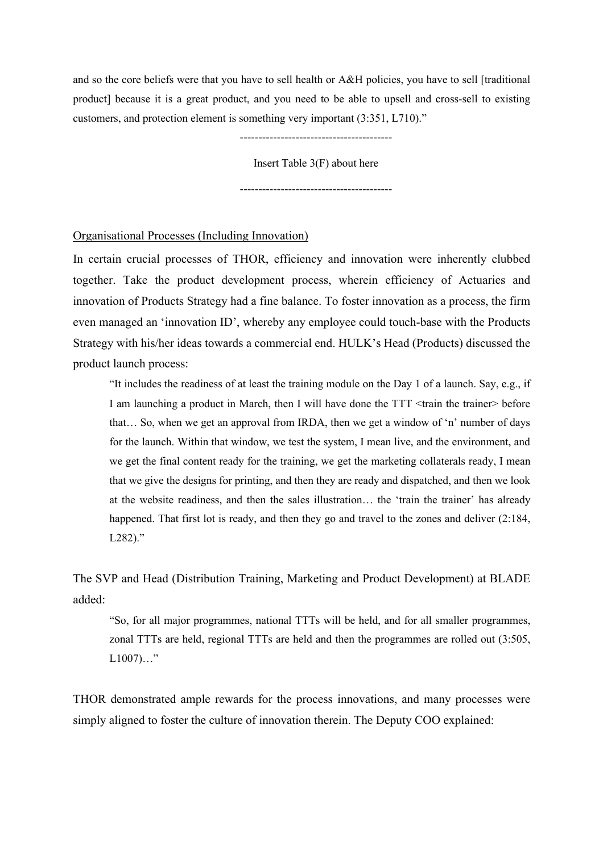and so the core beliefs were that you have to sell health or A&H policies, you have to sell [traditional product] because it is a great product, and you need to be able to upsell and cross-sell to existing customers, and protection element is something very important (3:351, L710)."

-----------------------------------------

Insert Table 3(F) about here

-----------------------------------------

#### Organisational Processes (Including Innovation)

In certain crucial processes of THOR, efficiency and innovation were inherently clubbed together. Take the product development process, wherein efficiency of Actuaries and innovation of Products Strategy had a fine balance. To foster innovation as a process, the firm even managed an 'innovation ID', whereby any employee could touch-base with the Products Strategy with his/her ideas towards a commercial end. HULK's Head (Products) discussed the product launch process:

"It includes the readiness of at least the training module on the Day 1 of a launch. Say, e.g., if I am launching a product in March, then I will have done the TTT <train the trainer> before that… So, when we get an approval from IRDA, then we get a window of 'n' number of days for the launch. Within that window, we test the system, I mean live, and the environment, and we get the final content ready for the training, we get the marketing collaterals ready, I mean that we give the designs for printing, and then they are ready and dispatched, and then we look at the website readiness, and then the sales illustration… the 'train the trainer' has already happened. That first lot is ready, and then they go and travel to the zones and deliver (2:184, L<sub>282</sub>)."

The SVP and Head (Distribution Training, Marketing and Product Development) at BLADE added:

"So, for all major programmes, national TTTs will be held, and for all smaller programmes, zonal TTTs are held, regional TTTs are held and then the programmes are rolled out (3:505,  $L1007)...$ "

THOR demonstrated ample rewards for the process innovations, and many processes were simply aligned to foster the culture of innovation therein. The Deputy COO explained: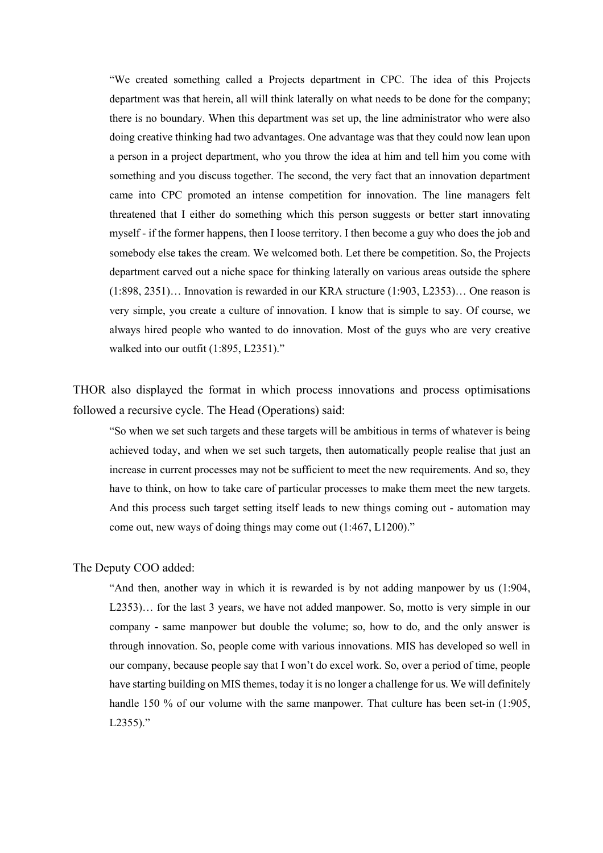"We created something called a Projects department in CPC. The idea of this Projects department was that herein, all will think laterally on what needs to be done for the company; there is no boundary. When this department was set up, the line administrator who were also doing creative thinking had two advantages. One advantage was that they could now lean upon a person in a project department, who you throw the idea at him and tell him you come with something and you discuss together. The second, the very fact that an innovation department came into CPC promoted an intense competition for innovation. The line managers felt threatened that I either do something which this person suggests or better start innovating myself - if the former happens, then I loose territory. I then become a guy who does the job and somebody else takes the cream. We welcomed both. Let there be competition. So, the Projects department carved out a niche space for thinking laterally on various areas outside the sphere (1:898, 2351)… Innovation is rewarded in our KRA structure (1:903, L2353)… One reason is very simple, you create a culture of innovation. I know that is simple to say. Of course, we always hired people who wanted to do innovation. Most of the guys who are very creative walked into our outfit (1:895, L2351)."

THOR also displayed the format in which process innovations and process optimisations followed a recursive cycle. The Head (Operations) said:

"So when we set such targets and these targets will be ambitious in terms of whatever is being achieved today, and when we set such targets, then automatically people realise that just an increase in current processes may not be sufficient to meet the new requirements. And so, they have to think, on how to take care of particular processes to make them meet the new targets. And this process such target setting itself leads to new things coming out - automation may come out, new ways of doing things may come out (1:467, L1200)."

#### The Deputy COO added:

"And then, another way in which it is rewarded is by not adding manpower by us (1:904, L2353)… for the last 3 years, we have not added manpower. So, motto is very simple in our company - same manpower but double the volume; so, how to do, and the only answer is through innovation. So, people come with various innovations. MIS has developed so well in our company, because people say that I won't do excel work. So, over a period of time, people have starting building on MIS themes, today it is no longer a challenge for us. We will definitely handle 150 % of our volume with the same manpower. That culture has been set-in (1:905,  $L2355$ )."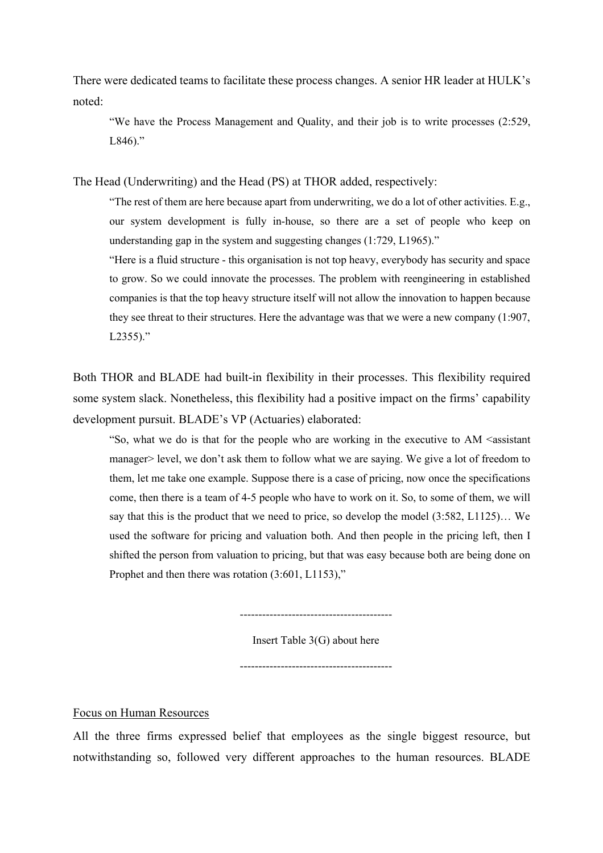There were dedicated teams to facilitate these process changes. A senior HR leader at HULK's noted:

"We have the Process Management and Quality, and their job is to write processes (2:529,  $L846$ )."

The Head (Underwriting) and the Head (PS) at THOR added, respectively:

"The rest of them are here because apart from underwriting, we do a lot of other activities. E.g., our system development is fully in-house, so there are a set of people who keep on understanding gap in the system and suggesting changes (1:729, L1965)."

"Here is a fluid structure - this organisation is not top heavy, everybody has security and space to grow. So we could innovate the processes. The problem with reengineering in established companies is that the top heavy structure itself will not allow the innovation to happen because they see threat to their structures. Here the advantage was that we were a new company (1:907, L2355)."

Both THOR and BLADE had built-in flexibility in their processes. This flexibility required some system slack. Nonetheless, this flexibility had a positive impact on the firms' capability development pursuit. BLADE's VP (Actuaries) elaborated:

"So, what we do is that for the people who are working in the executive to AM <assistant manager> level, we don't ask them to follow what we are saying. We give a lot of freedom to them, let me take one example. Suppose there is a case of pricing, now once the specifications come, then there is a team of 4-5 people who have to work on it. So, to some of them, we will say that this is the product that we need to price, so develop the model (3:582, L1125)… We used the software for pricing and valuation both. And then people in the pricing left, then I shifted the person from valuation to pricing, but that was easy because both are being done on Prophet and then there was rotation  $(3:601, L1153)$ ,"

Insert Table 3(G) about here

-----------------------------------------

-----------------------------------------

Focus on Human Resources

All the three firms expressed belief that employees as the single biggest resource, but notwithstanding so, followed very different approaches to the human resources. BLADE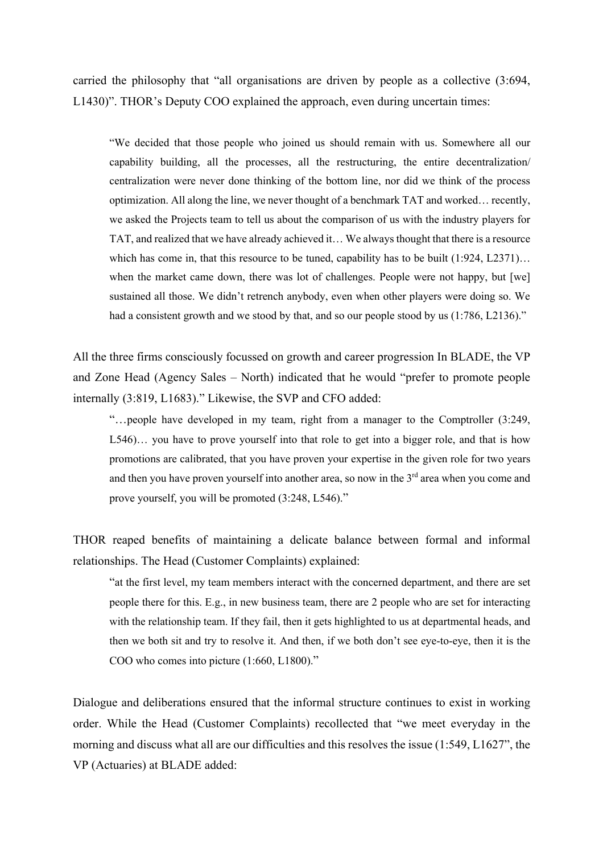carried the philosophy that "all organisations are driven by people as a collective (3:694, L1430)". THOR's Deputy COO explained the approach, even during uncertain times:

"We decided that those people who joined us should remain with us. Somewhere all our capability building, all the processes, all the restructuring, the entire decentralization/ centralization were never done thinking of the bottom line, nor did we think of the process optimization. All along the line, we never thought of a benchmark TAT and worked… recently, we asked the Projects team to tell us about the comparison of us with the industry players for TAT, and realized that we have already achieved it… We always thought that there is a resource which has come in, that this resource to be tuned, capability has to be built  $(1:924, L2371)...$ when the market came down, there was lot of challenges. People were not happy, but [we] sustained all those. We didn't retrench anybody, even when other players were doing so. We had a consistent growth and we stood by that, and so our people stood by us  $(1:786, L2136)$ ."

All the three firms consciously focussed on growth and career progression In BLADE, the VP and Zone Head (Agency Sales – North) indicated that he would "prefer to promote people internally (3:819, L1683)." Likewise, the SVP and CFO added:

"…people have developed in my team, right from a manager to the Comptroller (3:249, L546)… you have to prove yourself into that role to get into a bigger role, and that is how promotions are calibrated, that you have proven your expertise in the given role for two years and then you have proven yourself into another area, so now in the 3<sup>rd</sup> area when you come and prove yourself, you will be promoted (3:248, L546)."

THOR reaped benefits of maintaining a delicate balance between formal and informal relationships. The Head (Customer Complaints) explained:

"at the first level, my team members interact with the concerned department, and there are set people there for this. E.g., in new business team, there are 2 people who are set for interacting with the relationship team. If they fail, then it gets highlighted to us at departmental heads, and then we both sit and try to resolve it. And then, if we both don't see eye-to-eye, then it is the COO who comes into picture (1:660, L1800)."

Dialogue and deliberations ensured that the informal structure continues to exist in working order. While the Head (Customer Complaints) recollected that "we meet everyday in the morning and discuss what all are our difficulties and this resolves the issue (1:549, L1627", the VP (Actuaries) at BLADE added: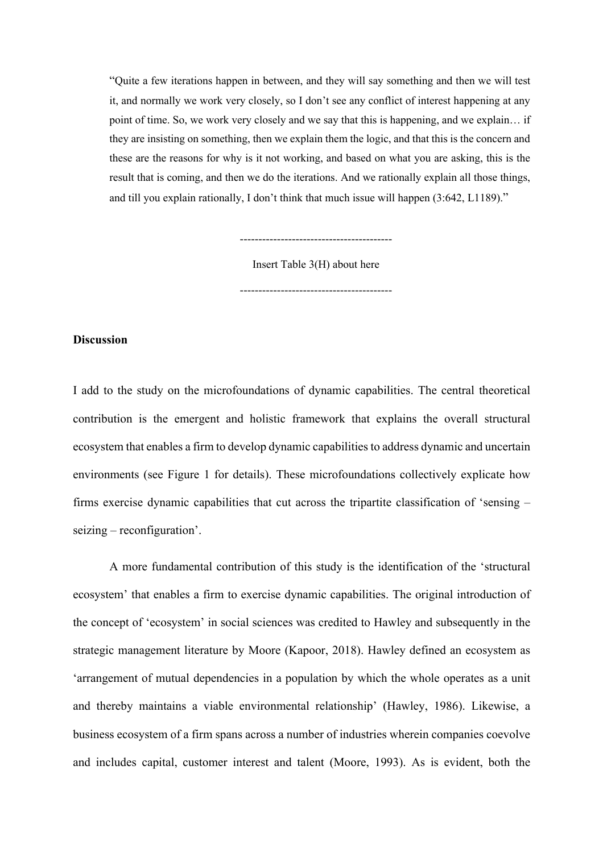"Quite a few iterations happen in between, and they will say something and then we will test it, and normally we work very closely, so I don't see any conflict of interest happening at any point of time. So, we work very closely and we say that this is happening, and we explain… if they are insisting on something, then we explain them the logic, and that this is the concern and these are the reasons for why is it not working, and based on what you are asking, this is the result that is coming, and then we do the iterations. And we rationally explain all those things, and till you explain rationally, I don't think that much issue will happen (3:642, L1189)."

Insert Table 3(H) about here

-----------------------------------------

-----------------------------------------

#### **Discussion**

I add to the study on the microfoundations of dynamic capabilities. The central theoretical contribution is the emergent and holistic framework that explains the overall structural ecosystem that enables a firm to develop dynamic capabilities to address dynamic and uncertain environments (see Figure 1 for details). These microfoundations collectively explicate how firms exercise dynamic capabilities that cut across the tripartite classification of 'sensing – seizing – reconfiguration'.

A more fundamental contribution of this study is the identification of the 'structural ecosystem' that enables a firm to exercise dynamic capabilities. The original introduction of the concept of 'ecosystem' in social sciences was credited to Hawley and subsequently in the strategic management literature by Moore (Kapoor, 2018). Hawley defined an ecosystem as 'arrangement of mutual dependencies in a population by which the whole operates as a unit and thereby maintains a viable environmental relationship' (Hawley, 1986). Likewise, a business ecosystem of a firm spans across a number of industries wherein companies coevolve and includes capital, customer interest and talent (Moore, 1993). As is evident, both the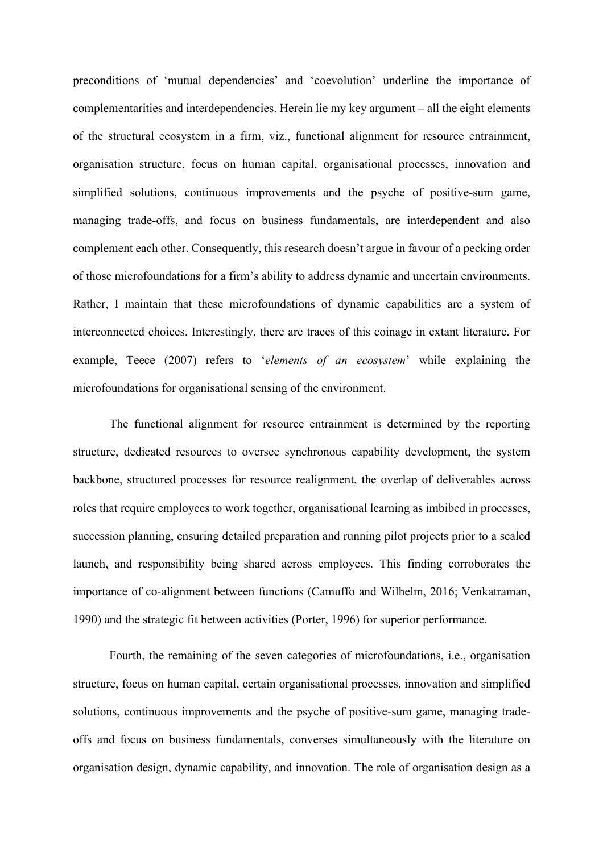preconditions of 'mutual dependencies' and 'coevolution' underline the importance of complementarities and interdependencies. Herein lie my key argument – all the eight elements of the structural ecosystem in a firm, viz., functional alignment for resource entrainment, organisation structure, focus on human capital, organisational processes, innovation and simplified solutions, continuous improvements and the psyche of positive-sum game, managing trade-offs, and focus on business fundamentals, are interdependent and also complement each other. Consequently, this research doesn't argue in favour of a pecking order of those microfoundations for a firm's ability to address dynamic and uncertain environments. Rather, I maintain that these microfoundations of dynamic capabilities are a system of interconnected choices. Interestingly, there are traces of this coinage in extant literature. For example, Teece (2007) refers to '*elements of an ecosystem*' while explaining the microfoundations for organisational sensing of the environment.

The functional alignment for resource entrainment is determined by the reporting structure, dedicated resources to oversee synchronous capability development, the system backbone, structured processes for resource realignment, the overlap of deliverables across roles that require employees to work together, organisational learning as imbibed in processes, succession planning, ensuring detailed preparation and running pilot projects prior to a scaled launch, and responsibility being shared across employees. This finding corroborates the importance of co-alignment between functions (Camuffo and Wilhelm, 2016; Venkatraman, 1990) and the strategic fit between activities (Porter, 1996) for superior performance.

Fourth, the remaining of the seven categories of microfoundations, i.e., organisation structure, focus on human capital, certain organisational processes, innovation and simplified solutions, continuous improvements and the psyche of positive-sum game, managing tradeoffs and focus on business fundamentals, converses simultaneously with the literature on organisation design, dynamic capability, and innovation. The role of organisation design as a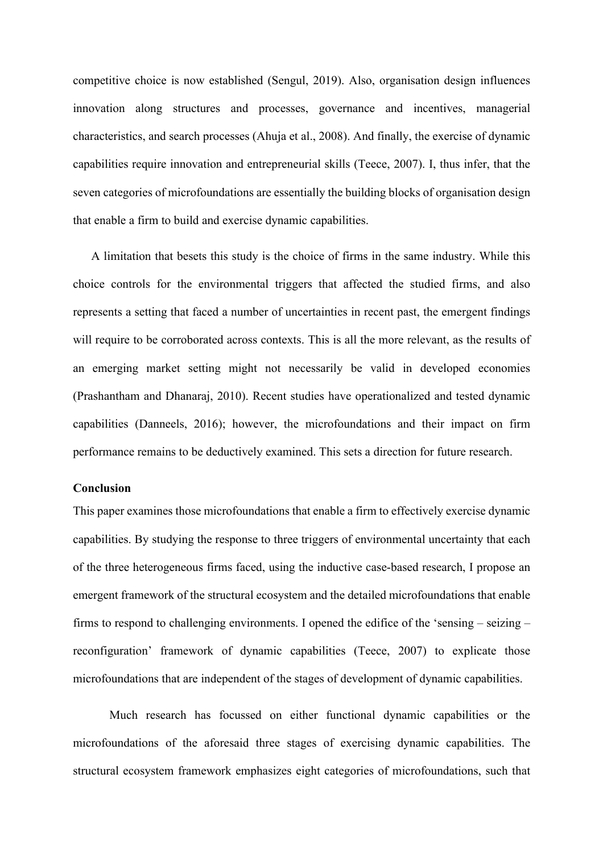competitive choice is now established (Sengul, 2019). Also, organisation design influences innovation along structures and processes, governance and incentives, managerial characteristics, and search processes (Ahuja et al., 2008). And finally, the exercise of dynamic capabilities require innovation and entrepreneurial skills (Teece, 2007). I, thus infer, that the seven categories of microfoundations are essentially the building blocks of organisation design that enable a firm to build and exercise dynamic capabilities.

A limitation that besets this study is the choice of firms in the same industry. While this choice controls for the environmental triggers that affected the studied firms, and also represents a setting that faced a number of uncertainties in recent past, the emergent findings will require to be corroborated across contexts. This is all the more relevant, as the results of an emerging market setting might not necessarily be valid in developed economies (Prashantham and Dhanaraj, 2010). Recent studies have operationalized and tested dynamic capabilities (Danneels, 2016); however, the microfoundations and their impact on firm performance remains to be deductively examined. This sets a direction for future research.

#### **Conclusion**

This paper examines those microfoundations that enable a firm to effectively exercise dynamic capabilities. By studying the response to three triggers of environmental uncertainty that each of the three heterogeneous firms faced, using the inductive case-based research, I propose an emergent framework of the structural ecosystem and the detailed microfoundations that enable firms to respond to challenging environments. I opened the edifice of the 'sensing – seizing – reconfiguration' framework of dynamic capabilities (Teece, 2007) to explicate those microfoundations that are independent of the stages of development of dynamic capabilities.

Much research has focussed on either functional dynamic capabilities or the microfoundations of the aforesaid three stages of exercising dynamic capabilities. The structural ecosystem framework emphasizes eight categories of microfoundations, such that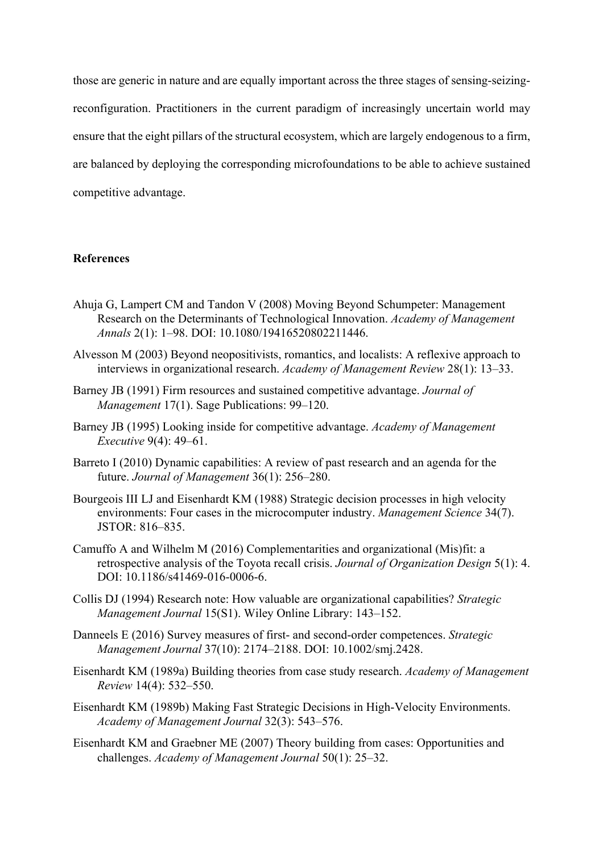those are generic in nature and are equally important across the three stages of sensing-seizingreconfiguration. Practitioners in the current paradigm of increasingly uncertain world may ensure that the eight pillars of the structural ecosystem, which are largely endogenous to a firm, are balanced by deploying the corresponding microfoundations to be able to achieve sustained competitive advantage.

#### **References**

- Ahuja G, Lampert CM and Tandon V (2008) Moving Beyond Schumpeter: Management Research on the Determinants of Technological Innovation. *Academy of Management Annals* 2(1): 1–98. DOI: 10.1080/19416520802211446.
- Alvesson M (2003) Beyond neopositivists, romantics, and localists: A reflexive approach to interviews in organizational research. *Academy of Management Review* 28(1): 13–33.
- Barney JB (1991) Firm resources and sustained competitive advantage. *Journal of Management* 17(1). Sage Publications: 99–120.
- Barney JB (1995) Looking inside for competitive advantage. *Academy of Management Executive* 9(4): 49–61.
- Barreto I (2010) Dynamic capabilities: A review of past research and an agenda for the future. *Journal of Management* 36(1): 256–280.
- Bourgeois III LJ and Eisenhardt KM (1988) Strategic decision processes in high velocity environments: Four cases in the microcomputer industry. *Management Science* 34(7). JSTOR: 816–835.
- Camuffo A and Wilhelm M (2016) Complementarities and organizational (Mis)fit: a retrospective analysis of the Toyota recall crisis. *Journal of Organization Design* 5(1): 4. DOI: 10.1186/s41469-016-0006-6.
- Collis DJ (1994) Research note: How valuable are organizational capabilities? *Strategic Management Journal* 15(S1). Wiley Online Library: 143–152.
- Danneels E (2016) Survey measures of first- and second-order competences. *Strategic Management Journal* 37(10): 2174–2188. DOI: 10.1002/smj.2428.
- Eisenhardt KM (1989a) Building theories from case study research. *Academy of Management Review* 14(4): 532–550.
- Eisenhardt KM (1989b) Making Fast Strategic Decisions in High-Velocity Environments. *Academy of Management Journal* 32(3): 543–576.
- Eisenhardt KM and Graebner ME (2007) Theory building from cases: Opportunities and challenges. *Academy of Management Journal* 50(1): 25–32.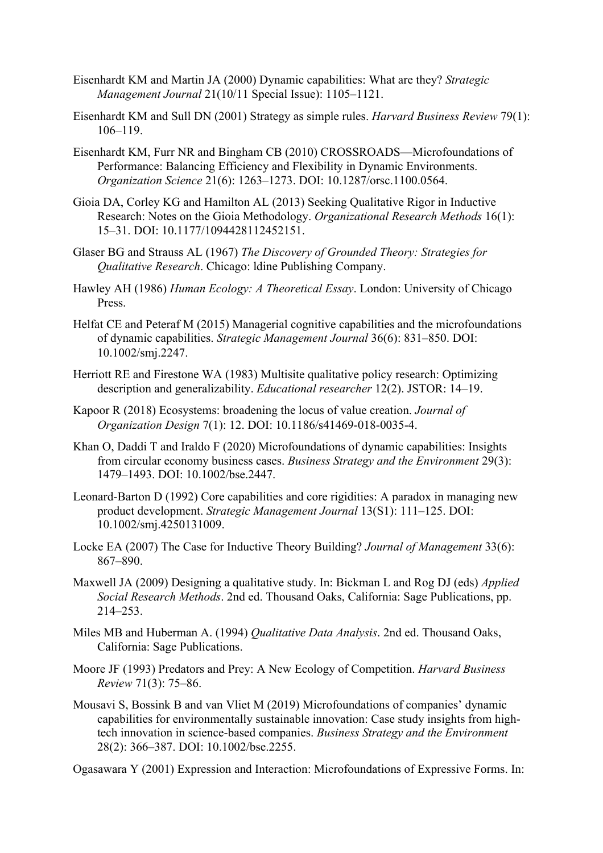- Eisenhardt KM and Martin JA (2000) Dynamic capabilities: What are they? *Strategic Management Journal* 21(10/11 Special Issue): 1105–1121.
- Eisenhardt KM and Sull DN (2001) Strategy as simple rules. *Harvard Business Review* 79(1): 106–119.
- Eisenhardt KM, Furr NR and Bingham CB (2010) CROSSROADS—Microfoundations of Performance: Balancing Efficiency and Flexibility in Dynamic Environments. *Organization Science* 21(6): 1263–1273. DOI: 10.1287/orsc.1100.0564.
- Gioia DA, Corley KG and Hamilton AL (2013) Seeking Qualitative Rigor in Inductive Research: Notes on the Gioia Methodology. *Organizational Research Methods* 16(1): 15–31. DOI: 10.1177/1094428112452151.
- Glaser BG and Strauss AL (1967) *The Discovery of Grounded Theory: Strategies for Qualitative Research*. Chicago: ldine Publishing Company.
- Hawley AH (1986) *Human Ecology: A Theoretical Essay*. London: University of Chicago Press.
- Helfat CE and Peteraf M (2015) Managerial cognitive capabilities and the microfoundations of dynamic capabilities. *Strategic Management Journal* 36(6): 831–850. DOI: 10.1002/smj.2247.
- Herriott RE and Firestone WA (1983) Multisite qualitative policy research: Optimizing description and generalizability. *Educational researcher* 12(2). JSTOR: 14–19.
- Kapoor R (2018) Ecosystems: broadening the locus of value creation. *Journal of Organization Design* 7(1): 12. DOI: 10.1186/s41469-018-0035-4.
- Khan O, Daddi T and Iraldo F (2020) Microfoundations of dynamic capabilities: Insights from circular economy business cases. *Business Strategy and the Environment* 29(3): 1479–1493. DOI: 10.1002/bse.2447.
- Leonard-Barton D (1992) Core capabilities and core rigidities: A paradox in managing new product development. *Strategic Management Journal* 13(S1): 111–125. DOI: 10.1002/smj.4250131009.
- Locke EA (2007) The Case for Inductive Theory Building? *Journal of Management* 33(6): 867–890.
- Maxwell JA (2009) Designing a qualitative study. In: Bickman L and Rog DJ (eds) *Applied Social Research Methods*. 2nd ed. Thousand Oaks, California: Sage Publications, pp. 214–253.
- Miles MB and Huberman A. (1994) *Qualitative Data Analysis*. 2nd ed. Thousand Oaks, California: Sage Publications.
- Moore JF (1993) Predators and Prey: A New Ecology of Competition. *Harvard Business Review* 71(3): 75–86.
- Mousavi S, Bossink B and van Vliet M (2019) Microfoundations of companies' dynamic capabilities for environmentally sustainable innovation: Case study insights from hightech innovation in science-based companies. *Business Strategy and the Environment* 28(2): 366–387. DOI: 10.1002/bse.2255.

Ogasawara Y (2001) Expression and Interaction: Microfoundations of Expressive Forms. In: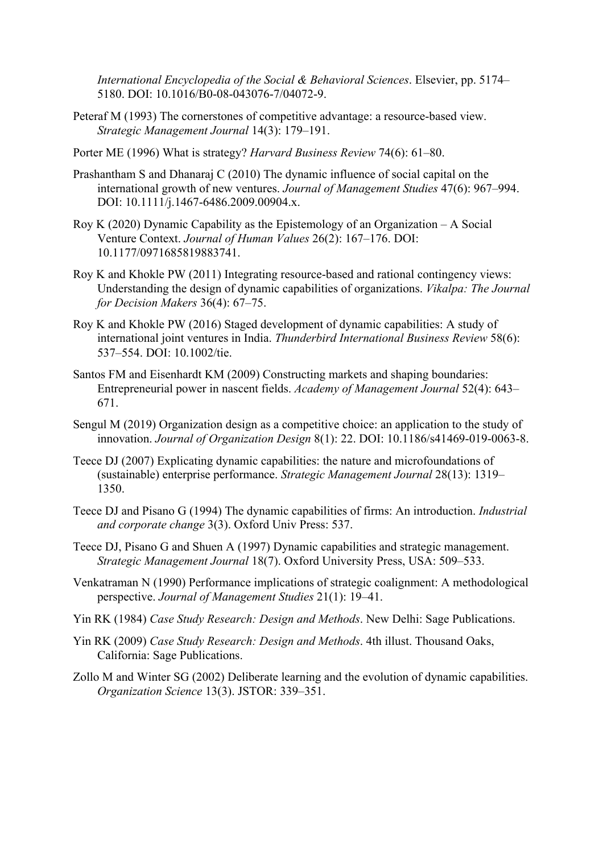*International Encyclopedia of the Social & Behavioral Sciences*. Elsevier, pp. 5174– 5180. DOI: 10.1016/B0-08-043076-7/04072-9.

- Peteraf M (1993) The cornerstones of competitive advantage: a resource-based view. *Strategic Management Journal* 14(3): 179–191.
- Porter ME (1996) What is strategy? *Harvard Business Review* 74(6): 61–80.
- Prashantham S and Dhanaraj C (2010) The dynamic influence of social capital on the international growth of new ventures. *Journal of Management Studies* 47(6): 967–994. DOI: 10.1111/j.1467-6486.2009.00904.x.
- Roy K (2020) Dynamic Capability as the Epistemology of an Organization A Social Venture Context. *Journal of Human Values* 26(2): 167–176. DOI: 10.1177/0971685819883741.
- Roy K and Khokle PW (2011) Integrating resource-based and rational contingency views: Understanding the design of dynamic capabilities of organizations. *Vikalpa: The Journal for Decision Makers* 36(4): 67–75.
- Roy K and Khokle PW (2016) Staged development of dynamic capabilities: A study of international joint ventures in India. *Thunderbird International Business Review* 58(6): 537–554. DOI: 10.1002/tie.
- Santos FM and Eisenhardt KM (2009) Constructing markets and shaping boundaries: Entrepreneurial power in nascent fields. *Academy of Management Journal* 52(4): 643– 671.
- Sengul M (2019) Organization design as a competitive choice: an application to the study of innovation. *Journal of Organization Design* 8(1): 22. DOI: 10.1186/s41469-019-0063-8.
- Teece DJ (2007) Explicating dynamic capabilities: the nature and microfoundations of (sustainable) enterprise performance. *Strategic Management Journal* 28(13): 1319– 1350.
- Teece DJ and Pisano G (1994) The dynamic capabilities of firms: An introduction. *Industrial and corporate change* 3(3). Oxford Univ Press: 537.
- Teece DJ, Pisano G and Shuen A (1997) Dynamic capabilities and strategic management. *Strategic Management Journal* 18(7). Oxford University Press, USA: 509–533.
- Venkatraman N (1990) Performance implications of strategic coalignment: A methodological perspective. *Journal of Management Studies* 21(1): 19–41.
- Yin RK (1984) *Case Study Research: Design and Methods*. New Delhi: Sage Publications.
- Yin RK (2009) *Case Study Research: Design and Methods*. 4th illust. Thousand Oaks, California: Sage Publications.
- Zollo M and Winter SG (2002) Deliberate learning and the evolution of dynamic capabilities. *Organization Science* 13(3). JSTOR: 339–351.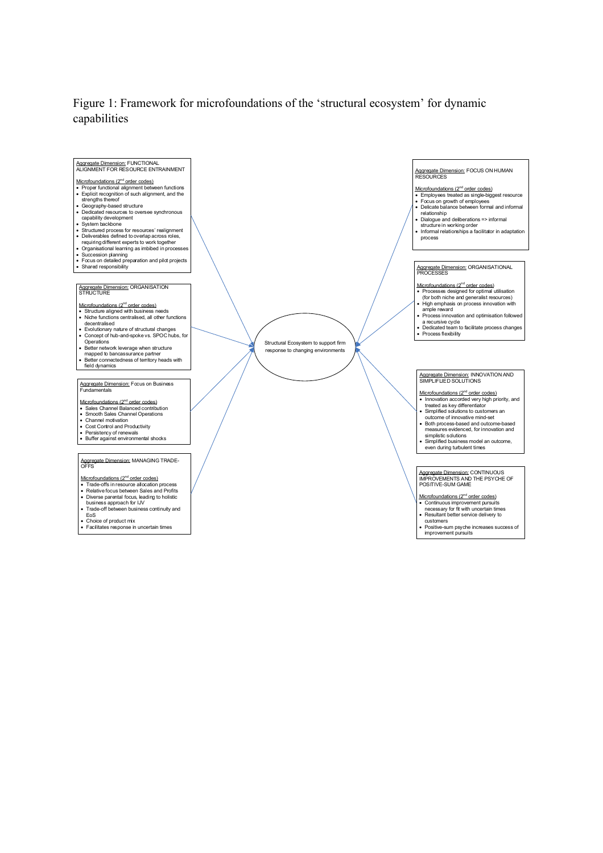### Figure 1: Framework for microfoundations of the 'structural ecosystem' for dynamic capabilities

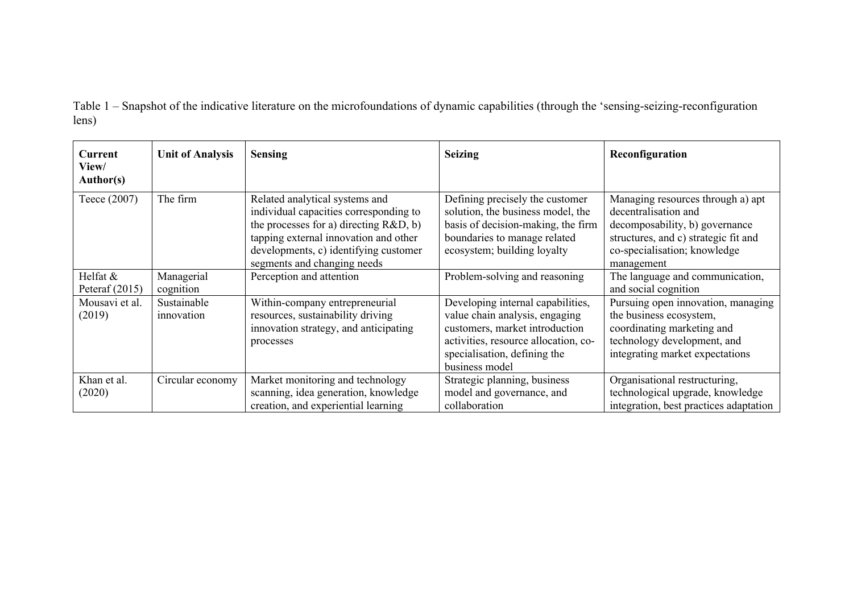Table 1 – Snapshot of the indicative literature on the microfoundations of dynamic capabilities (through the 'sensing-seizing-reconfiguration lens)

| Current<br>View/<br>Author(s) | <b>Unit of Analysis</b>   | <b>Sensing</b>                                                                                                                                                                                                                        | <b>Seizing</b>                                                                                                                                                                                  | Reconfiguration                                                                                                                                                                   |
|-------------------------------|---------------------------|---------------------------------------------------------------------------------------------------------------------------------------------------------------------------------------------------------------------------------------|-------------------------------------------------------------------------------------------------------------------------------------------------------------------------------------------------|-----------------------------------------------------------------------------------------------------------------------------------------------------------------------------------|
| Teece (2007)                  | The firm                  | Related analytical systems and<br>individual capacities corresponding to<br>the processes for a) directing $R&D, b)$<br>tapping external innovation and other<br>developments, c) identifying customer<br>segments and changing needs | Defining precisely the customer<br>solution, the business model, the<br>basis of decision-making, the firm<br>boundaries to manage related<br>ecosystem; building loyalty                       | Managing resources through a) apt<br>decentralisation and<br>decomposability, b) governance<br>structures, and c) strategic fit and<br>co-specialisation; knowledge<br>management |
| Helfat &<br>Peteraf $(2015)$  | Managerial<br>cognition   | Perception and attention                                                                                                                                                                                                              | Problem-solving and reasoning                                                                                                                                                                   | The language and communication,<br>and social cognition                                                                                                                           |
| Mousavi et al.<br>(2019)      | Sustainable<br>innovation | Within-company entrepreneurial<br>resources, sustainability driving<br>innovation strategy, and anticipating<br>processes                                                                                                             | Developing internal capabilities,<br>value chain analysis, engaging<br>customers, market introduction<br>activities, resource allocation, co-<br>specialisation, defining the<br>business model | Pursuing open innovation, managing<br>the business ecosystem,<br>coordinating marketing and<br>technology development, and<br>integrating market expectations                     |
| Khan et al.<br>(2020)         | Circular economy          | Market monitoring and technology<br>scanning, idea generation, knowledge<br>creation, and experiential learning                                                                                                                       | Strategic planning, business<br>model and governance, and<br>collaboration                                                                                                                      | Organisational restructuring,<br>technological upgrade, knowledge<br>integration, best practices adaptation                                                                       |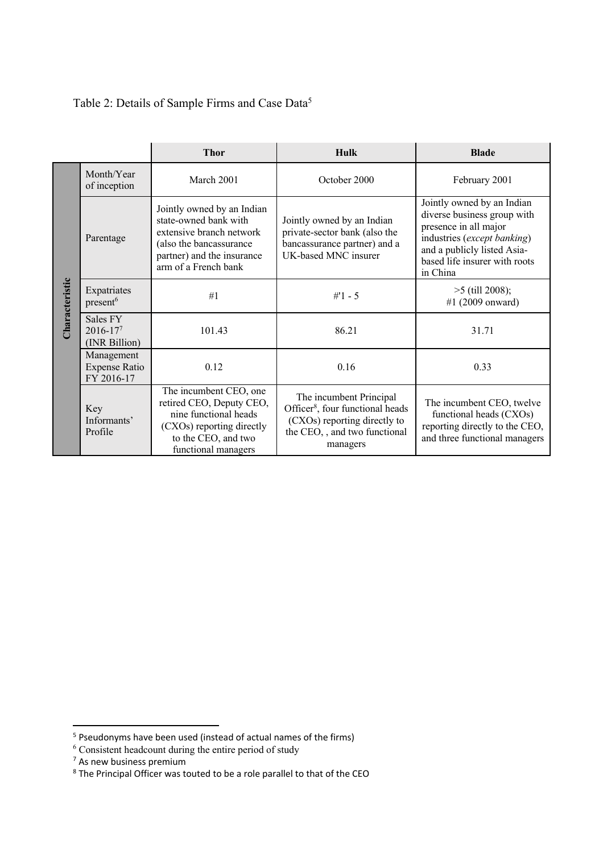# Table 2: Details of Sample Firms and Case Data5

|                |                                                                                                                                                                                         | <b>Thor</b>                                                                                                                                                      | <b>Hulk</b>                                                                                                         | <b>Blade</b>                                                                                                                                                                                  |                                                                                                                                                     |
|----------------|-----------------------------------------------------------------------------------------------------------------------------------------------------------------------------------------|------------------------------------------------------------------------------------------------------------------------------------------------------------------|---------------------------------------------------------------------------------------------------------------------|-----------------------------------------------------------------------------------------------------------------------------------------------------------------------------------------------|-----------------------------------------------------------------------------------------------------------------------------------------------------|
|                | Month/Year<br>of inception                                                                                                                                                              | March 2001                                                                                                                                                       | October 2000                                                                                                        | February 2001                                                                                                                                                                                 |                                                                                                                                                     |
|                | Parentage                                                                                                                                                                               | Jointly owned by an Indian<br>state-owned bank with<br>extensive branch network<br>(also the bancassurance<br>partner) and the insurance<br>arm of a French bank | Jointly owned by an Indian<br>private-sector bank (also the<br>bancassurance partner) and a<br>UK-based MNC insurer | Jointly owned by an Indian<br>diverse business group with<br>presence in all major<br>industries (except banking)<br>and a publicly listed Asia-<br>based life insurer with roots<br>in China |                                                                                                                                                     |
| Characteristic | Expatriates<br>present <sup>6</sup>                                                                                                                                                     | #1                                                                                                                                                               | $#1 - 5$                                                                                                            | $>5$ (till 2008);<br>#1 $(2009$ onward)                                                                                                                                                       |                                                                                                                                                     |
|                | Sales FY<br>2016-177<br>(INR Billion)                                                                                                                                                   | 101.43                                                                                                                                                           | 86.21                                                                                                               | 31.71                                                                                                                                                                                         |                                                                                                                                                     |
|                | Management<br><b>Expense Ratio</b><br>FY 2016-17                                                                                                                                        | 0.12                                                                                                                                                             | 0.16                                                                                                                | 0.33                                                                                                                                                                                          |                                                                                                                                                     |
|                | The incumbent CEO, one<br>retired CEO, Deputy CEO,<br>Key<br>nine functional heads<br>Informants'<br>(CXOs) reporting directly<br>Profile<br>to the CEO, and two<br>functional managers |                                                                                                                                                                  |                                                                                                                     |                                                                                                                                                                                               | The incumbent Principal<br>Officer <sup>8</sup> , four functional heads<br>(CXOs) reporting directly to<br>the CEO,, and two functional<br>managers |

<sup>5</sup> Pseudonyms have been used (instead of actual names of the firms)

 $6$  Consistent headcount during the entire period of study

 $7$  As new business premium

 $8$  The Principal Officer was touted to be a role parallel to that of the CEO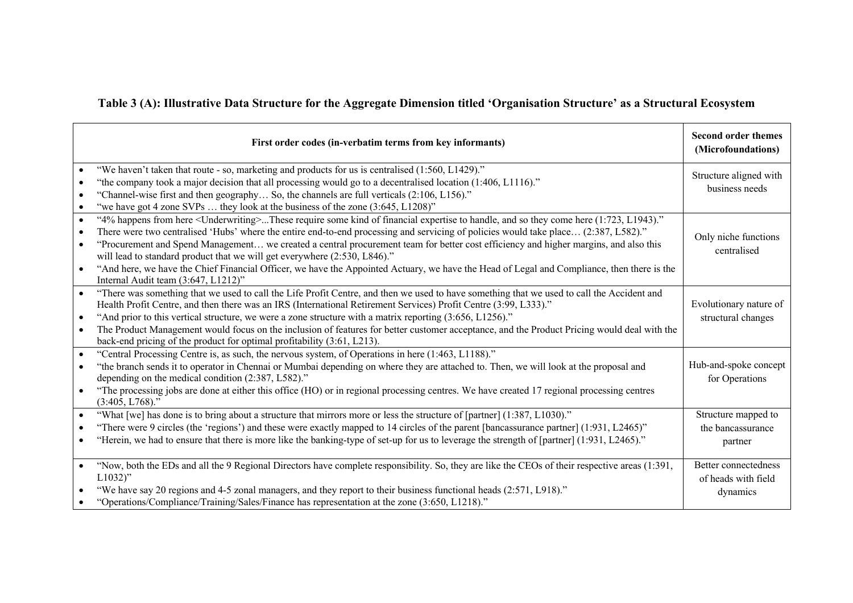# **Table 3 (A): Illustrative Data Structure for the Aggregate Dimension titled 'Organisation Structure' as a Structural Ecosystem**

|           | First order codes (in-verbatim terms from key informants)                                                                                                                                                                                                                                                                                                                                                                                                                                                                                                                                                                                                                                                                                                                                                                               | <b>Second order themes</b><br>(Microfoundations)        |
|-----------|-----------------------------------------------------------------------------------------------------------------------------------------------------------------------------------------------------------------------------------------------------------------------------------------------------------------------------------------------------------------------------------------------------------------------------------------------------------------------------------------------------------------------------------------------------------------------------------------------------------------------------------------------------------------------------------------------------------------------------------------------------------------------------------------------------------------------------------------|---------------------------------------------------------|
| $\bullet$ | "We haven't taken that route - so, marketing and products for us is centralised (1:560, L1429)."<br>"the company took a major decision that all processing would go to a decentralised location (1:406, L1116)."<br>"Channel-wise first and then geography So, the channels are full verticals (2:106, L156)."<br>$\bullet$<br>"we have got 4 zone SVPs  they look at the business of the zone (3:645, L1208)"<br>$\bullet$                                                                                                                                                                                                                                                                                                                                                                                                             | Structure aligned with<br>business needs                |
| $\bullet$ | "4% happens from here <underwriting>These require some kind of financial expertise to handle, and so they come here (1:723, L1943)."<br/><math display="inline">\bullet</math><br/>There were two centralised 'Hubs' where the entire end-to-end processing and servicing of policies would take place (2:387, L582)."<br/>"Procurement and Spend Management we created a central procurement team for better cost efficiency and higher margins, and also this<br/><math display="inline">\bullet</math><br/>will lead to standard product that we will get everywhere (2:530, L846)."<br/>"And here, we have the Chief Financial Officer, we have the Appointed Actuary, we have the Head of Legal and Compliance, then there is the<br/><math display="inline">\bullet</math><br/>Internal Audit team (3:647, L1212)"</underwriting> | Only niche functions<br>centralised                     |
|           | "There was something that we used to call the Life Profit Centre, and then we used to have something that we used to call the Accident and<br>$\bullet$<br>Health Profit Centre, and then there was an IRS (International Retirement Services) Profit Centre (3:99, L333)."<br>"And prior to this vertical structure, we were a zone structure with a matrix reporting (3:656, L1256)."<br>$\bullet$<br>The Product Management would focus on the inclusion of features for better customer acceptance, and the Product Pricing would deal with the<br>$\bullet$<br>back-end pricing of the product for optimal profitability (3:61, L213).                                                                                                                                                                                             | Evolutionary nature of<br>structural changes            |
|           | "Central Processing Centre is, as such, the nervous system, of Operations in here (1:463, L1188)."<br>$\bullet$<br>"the branch sends it to operator in Chennai or Mumbai depending on where they are attached to. Then, we will look at the proposal and<br>$\bullet$<br>depending on the medical condition (2:387, L582)."<br>"The processing jobs are done at either this office (HO) or in regional processing centres. We have created 17 regional processing centres<br>$\bullet$<br>$(3:405, L768)$ ."                                                                                                                                                                                                                                                                                                                            | Hub-and-spoke concept<br>for Operations                 |
| $\bullet$ | "What [we] has done is to bring about a structure that mirrors more or less the structure of [partner] (1:387, L1030)."<br>$\bullet$<br>"There were 9 circles (the 'regions') and these were exactly mapped to 14 circles of the parent [bancassurance partner] (1:931, L2465)"<br>"Herein, we had to ensure that there is more like the banking-type of set-up for us to leverage the strength of [partner] (1:931, L2465)."                                                                                                                                                                                                                                                                                                                                                                                                           | Structure mapped to<br>the bancassurance<br>partner     |
|           | "Now, both the EDs and all the 9 Regional Directors have complete responsibility. So, they are like the CEOs of their respective areas (1:391,<br>$\bullet$<br>$L1032$ "<br>"We have say 20 regions and 4-5 zonal managers, and they report to their business functional heads (2:571, L918)."<br>"Operations/Compliance/Training/Sales/Finance has representation at the zone (3:650, L1218)."                                                                                                                                                                                                                                                                                                                                                                                                                                         | Better connectedness<br>of heads with field<br>dynamics |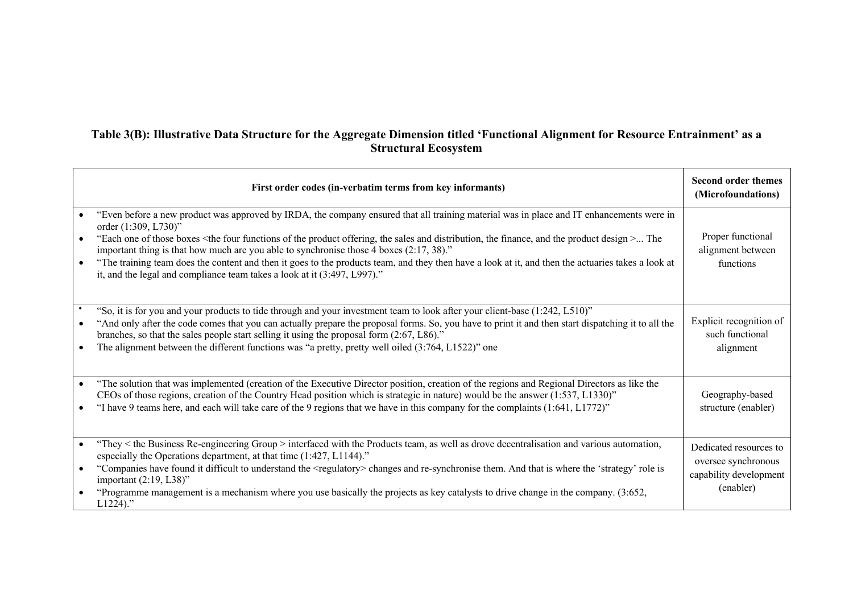## **Table 3(B): Illustrative Data Structure for the Aggregate Dimension titled 'Functional Alignment for Resource Entrainment' as a Structural Ecosystem**

| First order codes (in-verbatim terms from key informants)                                                                                                                                                                                                                                                                                                                                                                                                                                                                                                                                                                                                                               | <b>Second order themes</b><br>(Microfoundations)                                     |
|-----------------------------------------------------------------------------------------------------------------------------------------------------------------------------------------------------------------------------------------------------------------------------------------------------------------------------------------------------------------------------------------------------------------------------------------------------------------------------------------------------------------------------------------------------------------------------------------------------------------------------------------------------------------------------------------|--------------------------------------------------------------------------------------|
| "Even before a new product was approved by IRDA, the company ensured that all training material was in place and IT enhancements were in<br>order (1:309, L730)"<br>"Each one of those boxes <the and="" design="" distribution,="" finance,="" four="" functions="" of="" offering,="" product="" sales="" the=""> The<br/>important thing is that how much are you able to synchronise those <math>4</math> boxes <math>(2:17, 38)</math>."<br/>"The training team does the content and then it goes to the products team, and they then have a look at it, and then the actuaries takes a look at<br/>it, and the legal and compliance team takes a look at it (3:497, L997)."</the> | Proper functional<br>alignment between<br>functions                                  |
| "So, it is for you and your products to tide through and your investment team to look after your client-base (1:242, L510)"<br>"And only after the code comes that you can actually prepare the proposal forms. So, you have to print it and then start dispatching it to all the<br>branches, so that the sales people start selling it using the proposal form (2:67, L86)."<br>The alignment between the different functions was "a pretty, pretty well oiled $(3:764, L1522)$ " one                                                                                                                                                                                                 | Explicit recognition of<br>such functional<br>alignment                              |
| "The solution that was implemented (creation of the Executive Director position, creation of the regions and Regional Directors as like the<br>CEOs of those regions, creation of the Country Head position which is strategic in nature) would be the answer $(1:537, L1330)$ "<br>"I have 9 teams here, and each will take care of the 9 regions that we have in this company for the complaints (1:641, L1772)"                                                                                                                                                                                                                                                                      | Geography-based<br>structure (enabler)                                               |
| "They < the Business Re-engineering Group > interfaced with the Products team, as well as drove decentralisation and various automation,<br>especially the Operations department, at that time (1:427, L1144)."<br>"Companies have found it difficult to understand the <regulatory> changes and re-synchronise them. And that is where the 'strategy' role is<br/><math display="block">\bullet</math><br/>important <math>(2:19, L38)</math>"<br/>"Programme management is a mechanism where you use basically the projects as key catalysts to drive change in the company. (3:652,<br/><math>L1224</math>."</regulatory>                                                            | Dedicated resources to<br>oversee synchronous<br>capability development<br>(enabler) |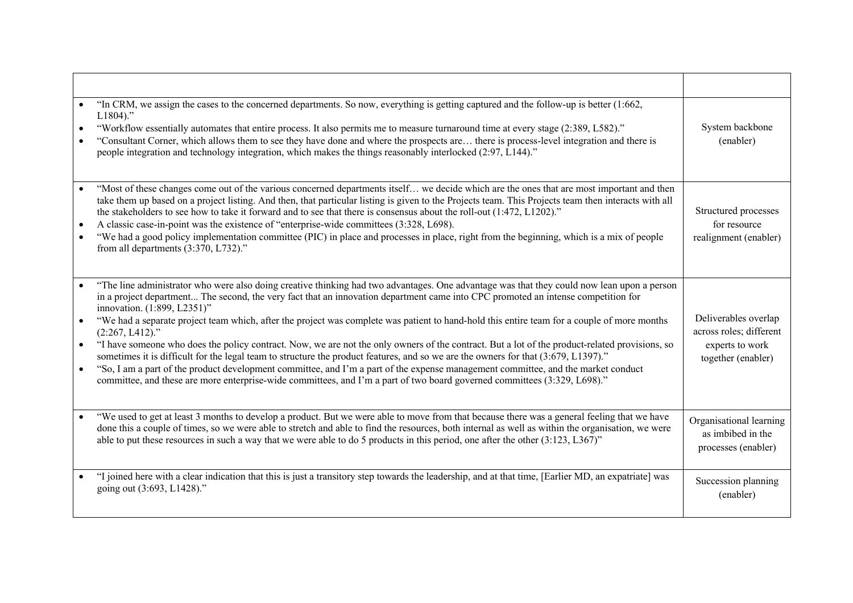| $\bullet$              | "In CRM, we assign the cases to the concerned departments. So now, everything is getting captured and the follow-up is better (1:662,<br>$L1804$ ."<br>"Workflow essentially automates that entire process. It also permits me to measure turnaround time at every stage (2:389, L582)."<br>"Consultant Corner, which allows them to see they have done and where the prospects are there is process-level integration and there is<br>people integration and technology integration, which makes the things reasonably interlocked (2:97, L144)."                                                                                                                                                                                                                                                                                                                                                                                                                                                                                            | System backbone<br>(enabler)                                                             |
|------------------------|-----------------------------------------------------------------------------------------------------------------------------------------------------------------------------------------------------------------------------------------------------------------------------------------------------------------------------------------------------------------------------------------------------------------------------------------------------------------------------------------------------------------------------------------------------------------------------------------------------------------------------------------------------------------------------------------------------------------------------------------------------------------------------------------------------------------------------------------------------------------------------------------------------------------------------------------------------------------------------------------------------------------------------------------------|------------------------------------------------------------------------------------------|
| $\bullet$<br>$\bullet$ | "Most of these changes come out of the various concerned departments itself we decide which are the ones that are most important and then<br>take them up based on a project listing. And then, that particular listing is given to the Projects team. This Projects team then interacts with all<br>the stakeholders to see how to take it forward and to see that there is consensus about the roll-out (1:472, L1202)."<br>A classic case-in-point was the existence of "enterprise-wide committees (3:328, L698).<br>"We had a good policy implementation committee (PIC) in place and processes in place, right from the beginning, which is a mix of people<br>from all departments (3:370, L732)."                                                                                                                                                                                                                                                                                                                                     | Structured processes<br>for resource<br>realignment (enabler)                            |
| $\bullet$<br>$\bullet$ | "The line administrator who were also doing creative thinking had two advantages. One advantage was that they could now lean upon a person<br>in a project department The second, the very fact that an innovation department came into CPC promoted an intense competition for<br>innovation. (1:899, L2351)"<br>"We had a separate project team which, after the project was complete was patient to hand-hold this entire team for a couple of more months<br>$(2:267, L412).$ "<br>"I have someone who does the policy contract. Now, we are not the only owners of the contract. But a lot of the product-related provisions, so<br>sometimes it is difficult for the legal team to structure the product features, and so we are the owners for that (3:679, L1397)."<br>"So, I am a part of the product development committee, and I'm a part of the expense management committee, and the market conduct<br>committee, and these are more enterprise-wide committees, and I'm a part of two board governed committees (3:329, L698)." | Deliverables overlap<br>across roles; different<br>experts to work<br>together (enabler) |
|                        | "We used to get at least 3 months to develop a product. But we were able to move from that because there was a general feeling that we have<br>done this a couple of times, so we were able to stretch and able to find the resources, both internal as well as within the organisation, we were<br>able to put these resources in such a way that we were able to do 5 products in this period, one after the other $(3:123, 1.367)$ "                                                                                                                                                                                                                                                                                                                                                                                                                                                                                                                                                                                                       | Organisational learning<br>as imbibed in the<br>processes (enabler)                      |
|                        | "I joined here with a clear indication that this is just a transitory step towards the leadership, and at that time, [Earlier MD, an expatriate] was<br>going out (3:693, L1428)."                                                                                                                                                                                                                                                                                                                                                                                                                                                                                                                                                                                                                                                                                                                                                                                                                                                            | Succession planning<br>(enabler)                                                         |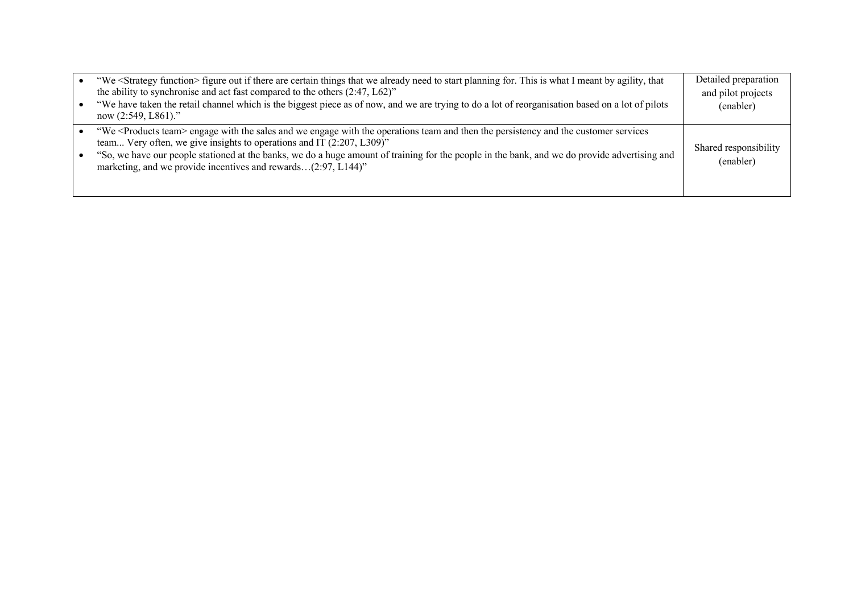| $\bullet$ | "We <strategy function=""> figure out if there are certain things that we already need to start planning for. This is what I meant by agility, that<br/>the ability to synchronise and act fast compared to the others <math>(2.47, L62)</math>"<br/>"We have taken the retail channel which is the biggest piece as of now, and we are trying to do a lot of reorganisation based on a lot of pilots<br/>now <math>(2:549, 1861)</math>."</strategy> | Detailed preparation<br>and pilot projects<br>(enabler) |
|-----------|-------------------------------------------------------------------------------------------------------------------------------------------------------------------------------------------------------------------------------------------------------------------------------------------------------------------------------------------------------------------------------------------------------------------------------------------------------|---------------------------------------------------------|
|           | "We <products team=""> engage with the sales and we engage with the operations team and then the persistency and the customer services<br/>team Very often, we give insights to operations and IT (2:207, L309)"<br/>"So, we have our people stationed at the banks, we do a huge amount of training for the people in the bank, and we do provide advertising and<br/>marketing, and we provide incentives and rewards(2:97, L144)"</products>       | Shared responsibility<br>(enabler)                      |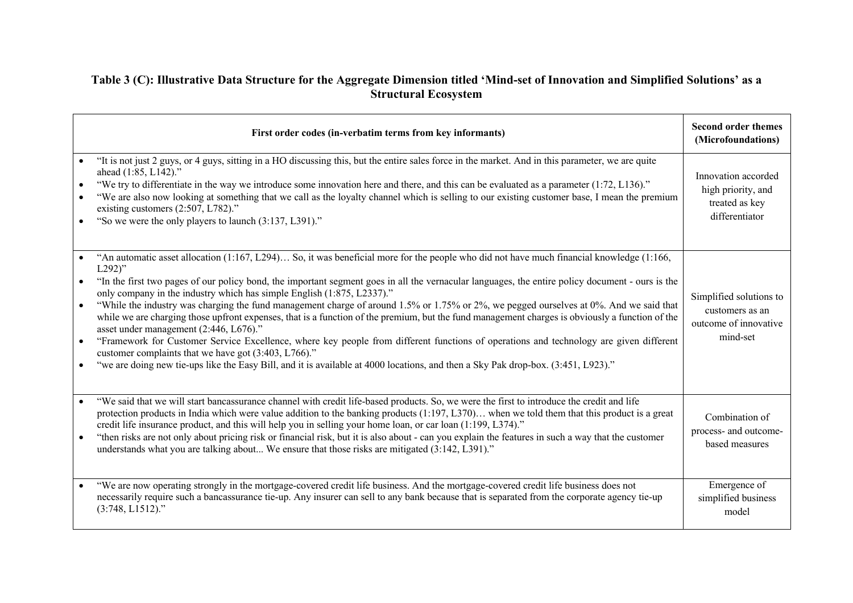## **Table 3 (C): Illustrative Data Structure for the Aggregate Dimension titled 'Mind-set of Innovation and Simplified Solutions' as a Structural Ecosystem**

|                                     | First order codes (in-verbatim terms from key informants)                                                                                                                                                                                                                                                                                                                                                                                                                                                                                                                                                                                                                                                                                                                                                                                                                                                                                                                                                                                                        | <b>Second order themes</b><br>(Microfoundations)                                |
|-------------------------------------|------------------------------------------------------------------------------------------------------------------------------------------------------------------------------------------------------------------------------------------------------------------------------------------------------------------------------------------------------------------------------------------------------------------------------------------------------------------------------------------------------------------------------------------------------------------------------------------------------------------------------------------------------------------------------------------------------------------------------------------------------------------------------------------------------------------------------------------------------------------------------------------------------------------------------------------------------------------------------------------------------------------------------------------------------------------|---------------------------------------------------------------------------------|
| $\bullet$<br>$\bullet$              | "It is not just 2 guys, or 4 guys, sitting in a HO discussing this, but the entire sales force in the market. And in this parameter, we are quite<br>ahead (1:85, L142)."<br>"We try to differentiate in the way we introduce some innovation here and there, and this can be evaluated as a parameter (1:72, L136)."<br>"We are also now looking at something that we call as the loyalty channel which is selling to our existing customer base, I mean the premium<br>existing customers (2:507, L782)."<br>"So we were the only players to launch (3:137, L391)."                                                                                                                                                                                                                                                                                                                                                                                                                                                                                            | Innovation accorded<br>high priority, and<br>treated as key<br>differentiator   |
| $\bullet$<br>$\bullet$<br>$\bullet$ | "An automatic asset allocation (1:167, L294) So, it was beneficial more for the people who did not have much financial knowledge (1:166,<br>$L292$ "<br>"In the first two pages of our policy bond, the important segment goes in all the vernacular languages, the entire policy document - ours is the<br>only company in the industry which has simple English (1:875, L2337)."<br>"While the industry was charging the fund management charge of around 1.5% or 1.75% or 2%, we pegged ourselves at 0%. And we said that<br>while we are charging those upfront expenses, that is a function of the premium, but the fund management charges is obviously a function of the<br>asset under management (2:446, L676)."<br>"Framework for Customer Service Excellence, where key people from different functions of operations and technology are given different<br>customer complaints that we have got (3:403, L766)."<br>"we are doing new tie-ups like the Easy Bill, and it is available at 4000 locations, and then a Sky Pak drop-box. (3:451, L923)." | Simplified solutions to<br>customers as an<br>outcome of innovative<br>mind-set |
| $\bullet$                           | "We said that we will start bancassurance channel with credit life-based products. So, we were the first to introduce the credit and life<br>protection products in India which were value addition to the banking products $(1:197, L370)$ when we told them that this product is a great<br>credit life insurance product, and this will help you in selling your home loan, or car loan (1:199, L374)."<br>"then risks are not only about pricing risk or financial risk, but it is also about - can you explain the features in such a way that the customer<br>understands what you are talking about We ensure that those risks are mitigated (3:142, L391)."                                                                                                                                                                                                                                                                                                                                                                                              | Combination of<br>process- and outcome-<br>based measures                       |
|                                     | "We are now operating strongly in the mortgage-covered credit life business. And the mortgage-covered credit life business does not<br>necessarily require such a bancassurance tie-up. Any insurer can sell to any bank because that is separated from the corporate agency tie-up<br>$(3:748, L1512)$ ."                                                                                                                                                                                                                                                                                                                                                                                                                                                                                                                                                                                                                                                                                                                                                       | Emergence of<br>simplified business<br>model                                    |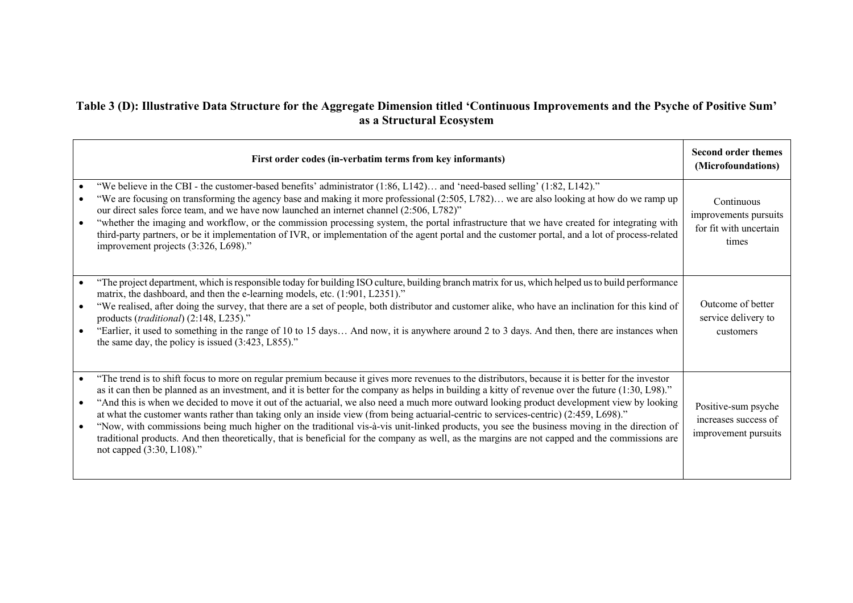## **Table 3 (D): Illustrative Data Structure for the Aggregate Dimension titled 'Continuous Improvements and the Psyche of Positive Sum' as a Structural Ecosystem**

|                        | First order codes (in-verbatim terms from key informants)                                                                                                                                                                                                                                                                                                                                                                                                                                                                                                                                                                                                                                                                                                                                                                                                                                                                    | <b>Second order themes</b><br>(Microfoundations)                       |
|------------------------|------------------------------------------------------------------------------------------------------------------------------------------------------------------------------------------------------------------------------------------------------------------------------------------------------------------------------------------------------------------------------------------------------------------------------------------------------------------------------------------------------------------------------------------------------------------------------------------------------------------------------------------------------------------------------------------------------------------------------------------------------------------------------------------------------------------------------------------------------------------------------------------------------------------------------|------------------------------------------------------------------------|
|                        | "We believe in the CBI - the customer-based benefits' administrator (1:86, L142) and 'need-based selling' (1:82, L142)."<br>"We are focusing on transforming the agency base and making it more professional (2:505, L782) we are also looking at how do we ramp up<br>our direct sales force team, and we have now launched an internet channel (2:506, L782)"<br>"whether the imaging and workflow, or the commission processing system, the portal infrastructure that we have created for integrating with<br>third-party partners, or be it implementation of IVR, or implementation of the agent portal and the customer portal, and a lot of process-related<br>improvement projects (3:326, L698)."                                                                                                                                                                                                                  | Continuous<br>improvements pursuits<br>for fit with uncertain<br>times |
| $\bullet$              | "The project department, which is responsible today for building ISO culture, building branch matrix for us, which helped us to build performance<br>matrix, the dashboard, and then the e-learning models, etc. (1:901, L2351)."<br>"We realised, after doing the survey, that there are a set of people, both distributor and customer alike, who have an inclination for this kind of<br>products (traditional) (2:148, L235)."<br>"Earlier, it used to something in the range of 10 to 15 days And now, it is anywhere around 2 to 3 days. And then, there are instances when<br>the same day, the policy is issued $(3:423, 1.855)$ ."                                                                                                                                                                                                                                                                                  | Outcome of better<br>service delivery to<br>customers                  |
| $\bullet$<br>$\bullet$ | "The trend is to shift focus to more on regular premium because it gives more revenues to the distributors, because it is better for the investor<br>as it can then be planned as an investment, and it is better for the company as helps in building a kitty of revenue over the future (1:30, L98)."<br>"And this is when we decided to move it out of the actuarial, we also need a much more outward looking product development view by looking<br>at what the customer wants rather than taking only an inside view (from being actuarial-centric to services-centric) (2:459, L698)."<br>"Now, with commissions being much higher on the traditional vis-à-vis unit-linked products, you see the business moving in the direction of<br>traditional products. And then theoretically, that is beneficial for the company as well, as the margins are not capped and the commissions are<br>not capped (3:30, L108)." | Positive-sum psyche<br>increases success of<br>improvement pursuits    |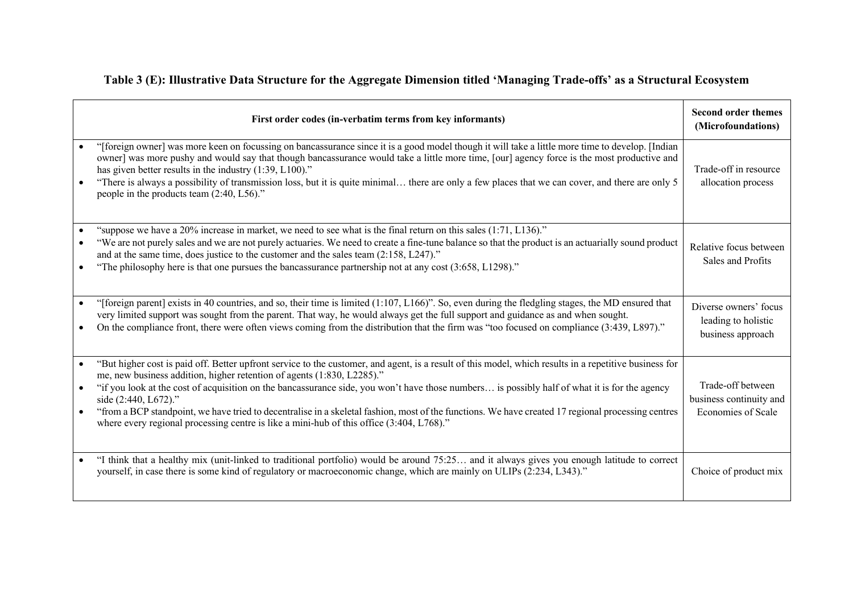| Table 3 (E): Illustrative Data Structure for the Aggregate Dimension titled 'Managing Trade-offs' as a Structural Ecosystem |  |  |  |
|-----------------------------------------------------------------------------------------------------------------------------|--|--|--|
|                                                                                                                             |  |  |  |

| First order codes (in-verbatim terms from key informants)                                                                                                                                                                                                                                                                                                                                                                                                                                                                                                                                                                                                                | <b>Second order themes</b><br>(Microfoundations)                   |
|--------------------------------------------------------------------------------------------------------------------------------------------------------------------------------------------------------------------------------------------------------------------------------------------------------------------------------------------------------------------------------------------------------------------------------------------------------------------------------------------------------------------------------------------------------------------------------------------------------------------------------------------------------------------------|--------------------------------------------------------------------|
| "[foreign owner] was more keen on focussing on bancassurance since it is a good model though it will take a little more time to develop. [Indian<br>owner] was more pushy and would say that though bancassurance would take a little more time, [our] agency force is the most productive and<br>has given better results in the industry $(1:39, L100)$ ."<br>"There is always a possibility of transmission loss, but it is quite minimal there are only a few places that we can cover, and there are only 5<br>people in the products team (2:40, L56)."                                                                                                            | Trade-off in resource<br>allocation process                        |
| "suppose we have a 20% increase in market, we need to see what is the final return on this sales (1:71, L136)."<br>"We are not purely sales and we are not purely actuaries. We need to create a fine-tune balance so that the product is an actuarially sound product<br>and at the same time, does justice to the customer and the sales team (2:158, L247)."<br>"The philosophy here is that one pursues the bancassurance partnership not at any cost (3:658, L1298)."                                                                                                                                                                                               | Relative focus between<br>Sales and Profits                        |
| "[foreign parent] exists in 40 countries, and so, their time is limited (1:107, L166)". So, even during the fledgling stages, the MD ensured that<br>$\bullet$<br>very limited support was sought from the parent. That way, he would always get the full support and guidance as and when sought.<br>On the compliance front, there were often views coming from the distribution that the firm was "too focused on compliance (3:439, L897)."                                                                                                                                                                                                                          | Diverse owners' focus<br>leading to holistic<br>business approach  |
| "But higher cost is paid off. Better upfront service to the customer, and agent, is a result of this model, which results in a repetitive business for<br>me, new business addition, higher retention of agents (1:830, L2285)."<br>"if you look at the cost of acquisition on the bancassurance side, you won't have those numbers is possibly half of what it is for the agency<br>$\bullet$<br>side (2:440, L672)."<br>"from a BCP standpoint, we have tried to decentralise in a skeletal fashion, most of the functions. We have created 17 regional processing centres<br>where every regional processing centre is like a mini-hub of this office (3:404, L768)." | Trade-off between<br>business continuity and<br>Economies of Scale |
| "I think that a healthy mix (unit-linked to traditional portfolio) would be around 75:25 and it always gives you enough latitude to correct<br>yourself, in case there is some kind of regulatory or macroeconomic change, which are mainly on ULIPs (2:234, L343)."                                                                                                                                                                                                                                                                                                                                                                                                     | Choice of product mix                                              |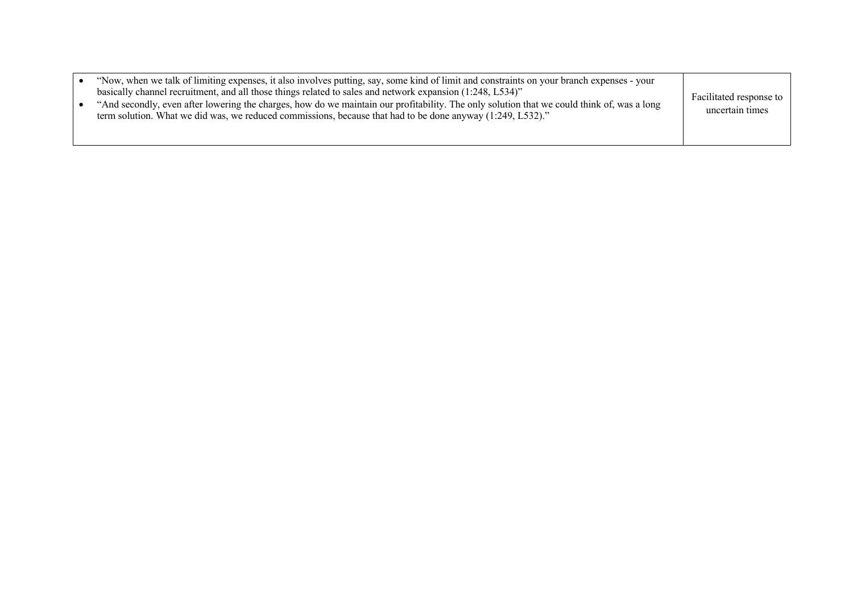|  | "Now, when we talk of limiting expenses, it also involves putting, say, some kind of limit and constraints on your branch expenses - your<br>basically channel recruitment, and all those things related to sales and network expansion (1:248, L534)"<br>"And secondly, even after lowering the charges, how do we maintain our profitability. The only solution that we could think of, was a long<br>term solution. What we did was, we reduced commissions, because that had to be done anyway (1:249, L532)." | Facilitated response to<br>uncertain times |
|--|--------------------------------------------------------------------------------------------------------------------------------------------------------------------------------------------------------------------------------------------------------------------------------------------------------------------------------------------------------------------------------------------------------------------------------------------------------------------------------------------------------------------|--------------------------------------------|
|--|--------------------------------------------------------------------------------------------------------------------------------------------------------------------------------------------------------------------------------------------------------------------------------------------------------------------------------------------------------------------------------------------------------------------------------------------------------------------------------------------------------------------|--------------------------------------------|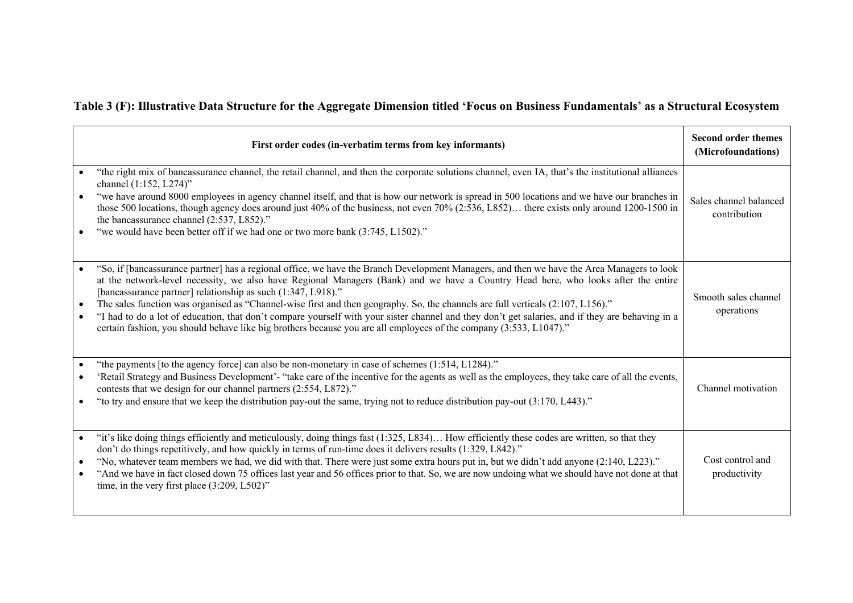# **Table 3 (F): Illustrative Data Structure for the Aggregate Dimension titled 'Focus on Business Fundamentals' as a Structural Ecosystem**

|                        | First order codes (in-verbatim terms from key informants)                                                                                                                                                                                                                                                                                                                                                                                                                                                                                                                                                                                                                                                                                                    | <b>Second order themes</b><br>(Microfoundations) |
|------------------------|--------------------------------------------------------------------------------------------------------------------------------------------------------------------------------------------------------------------------------------------------------------------------------------------------------------------------------------------------------------------------------------------------------------------------------------------------------------------------------------------------------------------------------------------------------------------------------------------------------------------------------------------------------------------------------------------------------------------------------------------------------------|--------------------------------------------------|
|                        | "the right mix of bancassurance channel, the retail channel, and then the corporate solutions channel, even IA, that's the institutional alliances<br>channel (1:152, L274)"<br>"we have around 8000 employees in agency channel itself, and that is how our network is spread in 500 locations and we have our branches in<br>those 500 locations, though agency does around just 40% of the business, not even 70% (2:536, L852) there exists only around 1200-1500 in<br>the bancassurance channel (2:537, L852)."<br>"we would have been better off if we had one or two more bank (3:745, L1502)."                                                                                                                                                      | Sales channel balanced<br>contribution           |
| $\bullet$              | "So, if [bancassurance partner] has a regional office, we have the Branch Development Managers, and then we have the Area Managers to look<br>at the network-level necessity, we also have Regional Managers (Bank) and we have a Country Head here, who looks after the entire<br>[bancassurance partner] relationship as such (1:347, L918)."<br>The sales function was organised as "Channel-wise first and then geography. So, the channels are full verticals (2:107, L156)."<br>"I had to do a lot of education, that don't compare yourself with your sister channel and they don't get salaries, and if they are behaving in a<br>certain fashion, you should behave like big brothers because you are all employees of the company (3:533, L1047)." | Smooth sales channel<br>operations               |
|                        | "the payments [to the agency force] can also be non-monetary in case of schemes (1:514, L1284)."<br>'Retail Strategy and Business Development'- "take care of the incentive for the agents as well as the employees, they take care of all the events,<br>contests that we design for our channel partners (2:554, L872)."<br>"to try and ensure that we keep the distribution pay-out the same, trying not to reduce distribution pay-out (3:170, L443)."                                                                                                                                                                                                                                                                                                   | Channel motivation                               |
| $\bullet$<br>$\bullet$ | "it's like doing things efficiently and meticulously, doing things fast (1:325, L834) How efficiently these codes are written, so that they<br>don't do things repetitively, and how quickly in terms of run-time does it delivers results (1:329, L842)."<br>"No, whatever team members we had, we did with that. There were just some extra hours put in, but we didn't add anyone (2:140, L223)."<br>"And we have in fact closed down 75 offices last year and 56 offices prior to that. So, we are now undoing what we should have not done at that<br>time, in the very first place $(3:209, L502)$ "                                                                                                                                                   | Cost control and<br>productivity                 |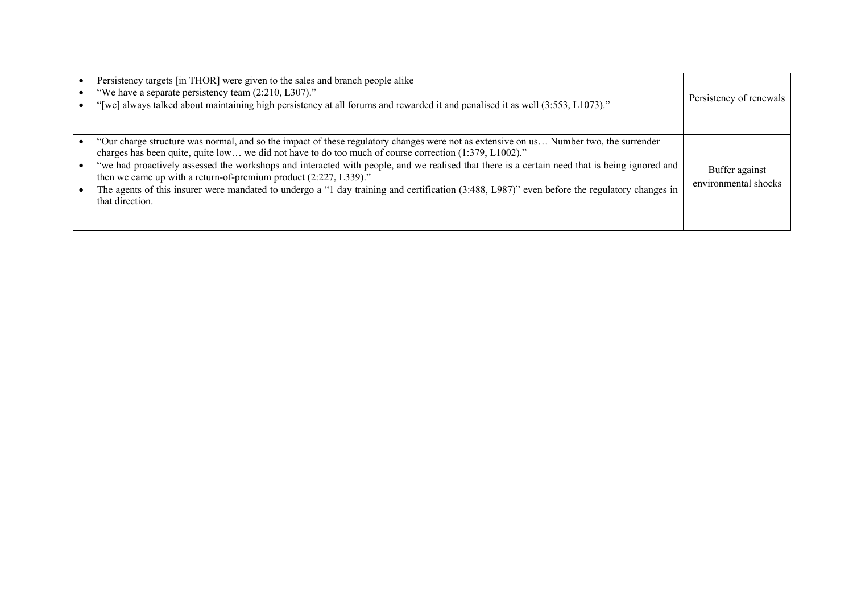| Persistency targets [in THOR] were given to the sales and branch people alike<br>"We have a separate persistency team (2:210, L307)."<br>"[we] always talked about maintaining high persistency at all forums and rewarded it and penalised it as well (3:553, L1073)."                                                                                                                                                                                                                                                                                                                                                                 | Persistency of renewals                |
|-----------------------------------------------------------------------------------------------------------------------------------------------------------------------------------------------------------------------------------------------------------------------------------------------------------------------------------------------------------------------------------------------------------------------------------------------------------------------------------------------------------------------------------------------------------------------------------------------------------------------------------------|----------------------------------------|
| "Our charge structure was normal, and so the impact of these regulatory changes were not as extensive on us Number two, the surrender<br>charges has been quite, quite low we did not have to do too much of course correction (1:379, L1002)."<br>"we had proactively assessed the workshops and interacted with people, and we realised that there is a certain need that is being ignored and<br>then we came up with a return-of-premium product (2:227, L339)."<br>The agents of this insurer were mandated to undergo a "1 day training and certification (3:488, L987)" even before the regulatory changes in<br>that direction. | Buffer against<br>environmental shocks |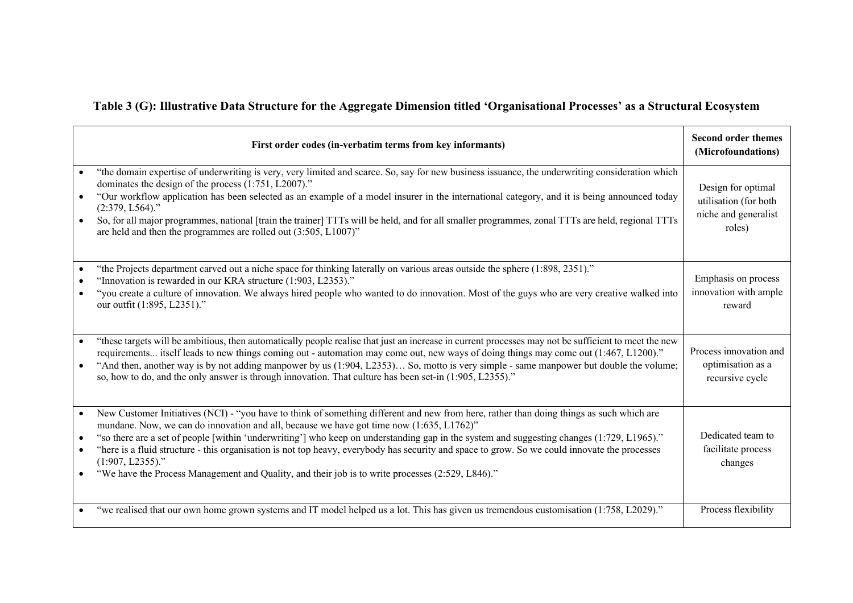# **Table 3 (G): Illustrative Data Structure for the Aggregate Dimension titled 'Organisational Processes' as a Structural Ecosystem**

| First order codes (in-verbatim terms from key informants)                                                                                                                                                                                                                                                                                                                                                                                                                                                                                                                                                                                                                                                         | <b>Second order themes</b><br>(Microfoundations)                              |
|-------------------------------------------------------------------------------------------------------------------------------------------------------------------------------------------------------------------------------------------------------------------------------------------------------------------------------------------------------------------------------------------------------------------------------------------------------------------------------------------------------------------------------------------------------------------------------------------------------------------------------------------------------------------------------------------------------------------|-------------------------------------------------------------------------------|
| "the domain expertise of underwriting is very, very limited and scarce. So, say for new business issuance, the underwriting consideration which<br>dominates the design of the process (1:751, L2007)."<br>"Our workflow application has been selected as an example of a model insurer in the international category, and it is being announced today<br>$\bullet$<br>$(2:379, L564)$ ."<br>So, for all major programmes, national [train the trainer] TTTs will be held, and for all smaller programmes, zonal TTTs are held, regional TTTs<br>$\bullet$<br>are held and then the programmes are rolled out (3:505, L1007)"                                                                                     | Design for optimal<br>utilisation (for both<br>niche and generalist<br>roles) |
| "the Projects department carved out a niche space for thinking laterally on various areas outside the sphere (1:898, 2351)."<br>"Innovation is rewarded in our KRA structure (1:903, L2353)."<br>"you create a culture of innovation. We always hired people who wanted to do innovation. Most of the guys who are very creative walked into<br>$\bullet$<br>our outfit (1:895, L2351)."                                                                                                                                                                                                                                                                                                                          | Emphasis on process<br>innovation with ample<br>reward                        |
| "these targets will be ambitious, then automatically people realise that just an increase in current processes may not be sufficient to meet the new<br>$\bullet$<br>requirements itself leads to new things coming out - automation may come out, new ways of doing things may come out (1:467, L1200)."<br>"And then, another way is by not adding manpower by us (1:904, L2353) So, motto is very simple - same manpower but double the volume;<br>so, how to do, and the only answer is through innovation. That culture has been set-in (1:905, L2355)."                                                                                                                                                     | Process innovation and<br>optimisation as a<br>recursive cycle                |
| New Customer Initiatives (NCI) - "you have to think of something different and new from here, rather than doing things as such which are<br>$\bullet$<br>mundane. Now, we can do innovation and all, because we have got time now (1:635, L1762)"<br>"so there are a set of people [within 'underwriting'] who keep on understanding gap in the system and suggesting changes (1:729, L1965)."<br>$\bullet$<br>"here is a fluid structure - this organisation is not top heavy, everybody has security and space to grow. So we could innovate the processes<br>$\bullet$<br>$(1:907, L2355)$ ."<br>"We have the Process Management and Quality, and their job is to write processes (2:529, L846)."<br>$\bullet$ | Dedicated team to<br>facilitate process<br>changes                            |
| "we realised that our own home grown systems and IT model helped us a lot. This has given us tremendous customisation (1:758, L2029)."                                                                                                                                                                                                                                                                                                                                                                                                                                                                                                                                                                            | Process flexibility                                                           |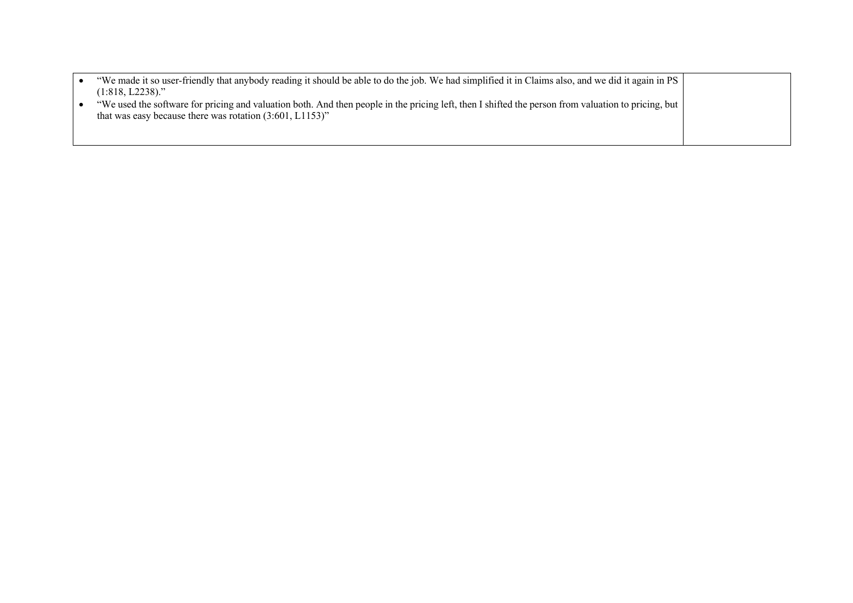| that was easy because there was rotation $(3:601, L1153)$ " | "We made it so user-friendly that anybody reading it should be able to do the job. We had simplified it in Claims also, and we did it again in PS<br>$(1:818, L2238)$ ." |
|-------------------------------------------------------------|--------------------------------------------------------------------------------------------------------------------------------------------------------------------------|
|                                                             | "We used the software for pricing and valuation both. And then people in the pricing left, then I shifted the person from valuation to pricing, but                      |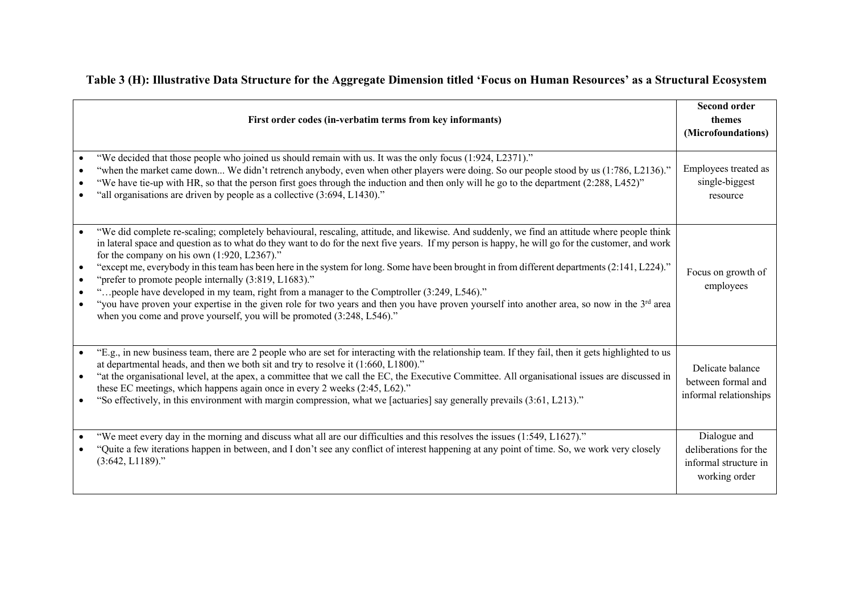|  | Table 3 (H): Illustrative Data Structure for the Aggregate Dimension titled 'Focus on Human Resources' as a Structural Ecosystem |  |  |  |  |
|--|----------------------------------------------------------------------------------------------------------------------------------|--|--|--|--|
|--|----------------------------------------------------------------------------------------------------------------------------------|--|--|--|--|

| First order codes (in-verbatim terms from key informants)                                                                                                                                                                                                                                                                                                                                                                                                                                                                                                                                                                                                                                                                                                                                                                                                                            | <b>Second order</b><br>themes<br>(Microfoundations)                             |
|--------------------------------------------------------------------------------------------------------------------------------------------------------------------------------------------------------------------------------------------------------------------------------------------------------------------------------------------------------------------------------------------------------------------------------------------------------------------------------------------------------------------------------------------------------------------------------------------------------------------------------------------------------------------------------------------------------------------------------------------------------------------------------------------------------------------------------------------------------------------------------------|---------------------------------------------------------------------------------|
| "We decided that those people who joined us should remain with us. It was the only focus (1:924, L2371)."<br>"when the market came down We didn't retrench anybody, even when other players were doing. So our people stood by us (1:786, L2136)."<br>"We have tie-up with HR, so that the person first goes through the induction and then only will he go to the department (2:288, L452)"<br>"all organisations are driven by people as a collective (3:694, L1430)."                                                                                                                                                                                                                                                                                                                                                                                                             | Employees treated as<br>single-biggest<br>resource                              |
| "We did complete re-scaling; completely behavioural, rescaling, attitude, and likewise. And suddenly, we find an attitude where people think<br>in lateral space and question as to what do they want to do for the next five years. If my person is happy, he will go for the customer, and work<br>for the company on his own $(1:920, L2367)$ ."<br>"except me, everybody in this team has been here in the system for long. Some have been brought in from different departments (2:141, L224)."<br>"prefer to promote people internally (3:819, L1683)."<br>"people have developed in my team, right from a manager to the Comptroller (3:249, L546)."<br>"you have proven your expertise in the given role for two years and then you have proven yourself into another area, so now in the 3rd area<br>when you come and prove yourself, you will be promoted (3:248, L546)." | Focus on growth of<br>employees                                                 |
| "E.g., in new business team, there are 2 people who are set for interacting with the relationship team. If they fail, then it gets highlighted to us<br>at departmental heads, and then we both sit and try to resolve it (1:660, L1800)."<br>"at the organisational level, at the apex, a committee that we call the EC, the Executive Committee. All organisational issues are discussed in<br>these EC meetings, which happens again once in every 2 weeks (2:45, L62)."<br>"So effectively, in this environment with margin compression, what we [actuaries] say generally prevails (3:61, L213)."                                                                                                                                                                                                                                                                               | Delicate balance<br>between formal and<br>informal relationships                |
| "We meet every day in the morning and discuss what all are our difficulties and this resolves the issues (1:549, L1627)."<br>"Quite a few iterations happen in between, and I don't see any conflict of interest happening at any point of time. So, we work very closely<br>$(3:642, L1189)$ ."                                                                                                                                                                                                                                                                                                                                                                                                                                                                                                                                                                                     | Dialogue and<br>deliberations for the<br>informal structure in<br>working order |